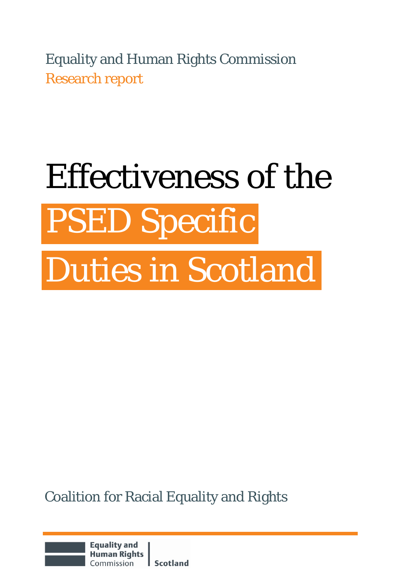Equality and Human Rights Commission Research report

# Effectiveness of the PSED Specific Duties in Scotland

Coalition for Racial Equality and Rights

**Equality and Human Rights Scotland** Commission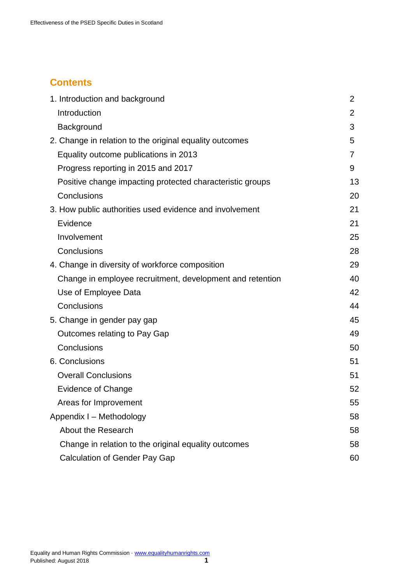# **Contents**

| 1. Introduction and background                            | $\overline{2}$ |
|-----------------------------------------------------------|----------------|
| Introduction                                              | 2              |
| Background                                                | 3              |
| 2. Change in relation to the original equality outcomes   | 5              |
| Equality outcome publications in 2013                     | 7              |
| Progress reporting in 2015 and 2017                       | 9              |
| Positive change impacting protected characteristic groups | 13             |
| Conclusions                                               | 20             |
| 3. How public authorities used evidence and involvement   | 21             |
| Evidence                                                  | 21             |
| Involvement                                               | 25             |
| Conclusions                                               | 28             |
| 4. Change in diversity of workforce composition           | 29             |
| Change in employee recruitment, development and retention | 40             |
| Use of Employee Data                                      | 42             |
| Conclusions                                               | 44             |
| 5. Change in gender pay gap                               | 45             |
| Outcomes relating to Pay Gap                              | 49             |
| Conclusions                                               | 50             |
| 6. Conclusions                                            | 51             |
| <b>Overall Conclusions</b>                                | 51             |
| Evidence of Change                                        | 52             |
| Areas for Improvement                                     | 55             |
| Appendix I - Methodology                                  | 58             |
| <b>About the Research</b>                                 | 58             |
| Change in relation to the original equality outcomes      | 58             |
| <b>Calculation of Gender Pay Gap</b>                      | 60             |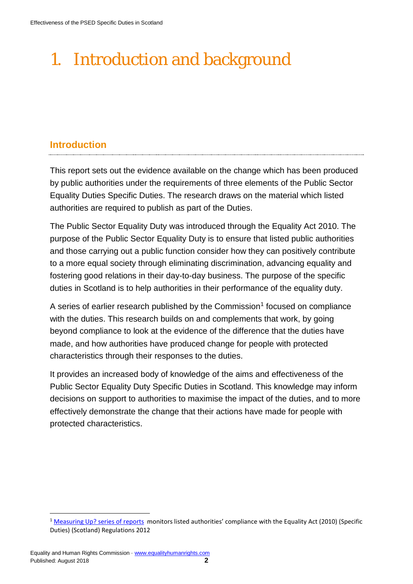# <span id="page-2-0"></span>1. Introduction and background

# <span id="page-2-1"></span>**Introduction**

This report sets out the evidence available on the change which has been produced by public authorities under the requirements of three elements of the Public Sector Equality Duties Specific Duties. The research draws on the material which listed authorities are required to publish as part of the Duties.

The Public Sector Equality Duty was introduced through the Equality Act 2010. The purpose of the Public Sector Equality Duty is to ensure that listed public authorities and those carrying out a public function consider how they can positively contribute to a more equal society through eliminating discrimination, advancing equality and fostering good relations in their day-to-day business. The purpose of the specific duties in Scotland is to help authorities in their performance of the equality duty.

A series of earlier research published by the Commission<sup>[1](#page-2-2)</sup> focused on compliance with the duties. This research builds on and complements that work, by going beyond compliance to look at the evidence of the difference that the duties have made, and how authorities have produced change for people with protected characteristics through their responses to the duties.

It provides an increased body of knowledge of the aims and effectiveness of the Public Sector Equality Duty Specific Duties in Scotland. This knowledge may inform decisions on support to authorities to maximise the impact of the duties, and to more effectively demonstrate the change that their actions have made for people with protected characteristics.

<span id="page-2-2"></span><sup>1</sup> [Measuring Up? series of reports](https://www.equalityhumanrights.com/en/public-sector-equality-duty-scotland/scotland-public-sector-equality-duty-projects/measuring) monitors listed authorities' compliance with the Equality Act (2010) (Specific Duties) (Scotland) Regulations 2012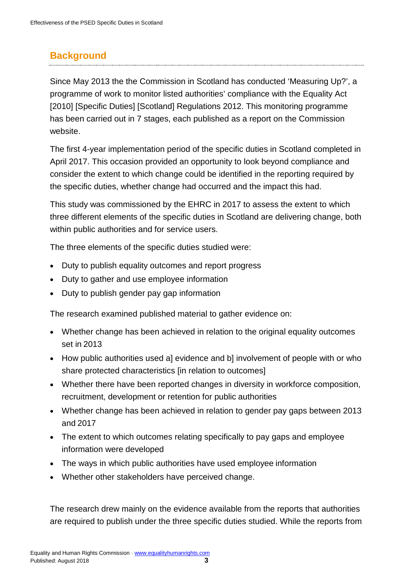# <span id="page-3-0"></span>**Background**

Since May 2013 the the Commission in Scotland has conducted 'Measuring Up?', a programme of work to monitor listed authorities' compliance with the Equality Act [2010] [Specific Duties] [Scotland] Regulations 2012. This monitoring programme has been carried out in 7 stages, each published as a report on the Commission website.

The first 4-year implementation period of the specific duties in Scotland completed in April 2017. This occasion provided an opportunity to look beyond compliance and consider the extent to which change could be identified in the reporting required by the specific duties, whether change had occurred and the impact this had.

This study was commissioned by the EHRC in 2017 to assess the extent to which three different elements of the specific duties in Scotland are delivering change, both within public authorities and for service users.

The three elements of the specific duties studied were:

- Duty to publish equality outcomes and report progress
- Duty to gather and use employee information
- Duty to publish gender pay gap information

The research examined published material to gather evidence on:

- Whether change has been achieved in relation to the original equality outcomes set in 2013
- How public authorities used a] evidence and b] involvement of people with or who share protected characteristics [in relation to outcomes]
- Whether there have been reported changes in diversity in workforce composition, recruitment, development or retention for public authorities
- Whether change has been achieved in relation to gender pay gaps between 2013 and 2017
- The extent to which outcomes relating specifically to pay gaps and employee information were developed
- The ways in which public authorities have used employee information
- Whether other stakeholders have perceived change.

The research drew mainly on the evidence available from the reports that authorities are required to publish under the three specific duties studied. While the reports from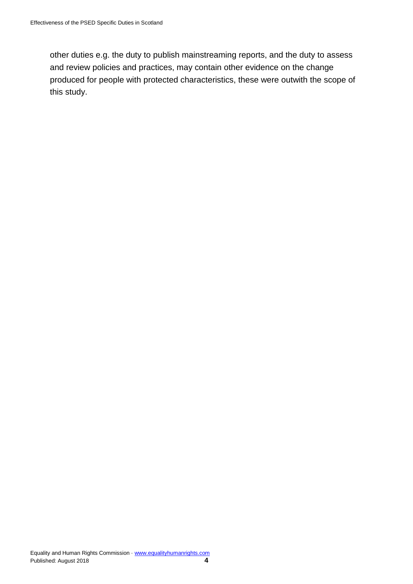other duties e.g. the duty to publish mainstreaming reports, and the duty to assess and review policies and practices, may contain other evidence on the change produced for people with protected characteristics, these were outwith the scope of this study.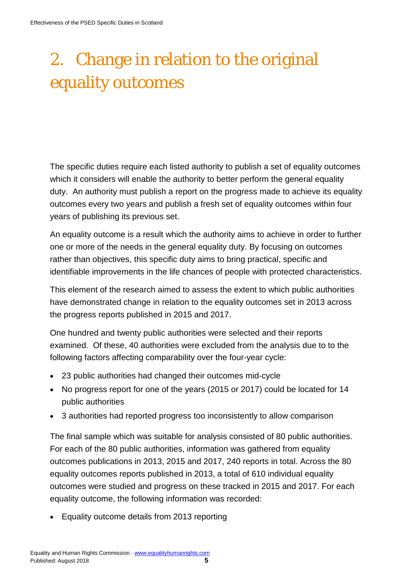# <span id="page-5-0"></span>2. Change in relation to the original equality outcomes

The specific duties require each listed authority to publish a set of equality outcomes which it considers will enable the authority to better perform the general equality duty. An authority must publish a report on the progress made to achieve its equality outcomes every two years and publish a fresh set of equality outcomes within four years of publishing its previous set.

An equality outcome is a result which the authority aims to achieve in order to further one or more of the needs in the general equality duty. By focusing on outcomes rather than objectives, this specific duty aims to bring practical, specific and identifiable improvements in the life chances of people with protected characteristics.

This element of the research aimed to assess the extent to which public authorities have demonstrated change in relation to the equality outcomes set in 2013 across the progress reports published in 2015 and 2017.

One hundred and twenty public authorities were selected and their reports examined. Of these, 40 authorities were excluded from the analysis due to to the following factors affecting comparability over the four-year cycle:

- 23 public authorities had changed their outcomes mid-cycle
- No progress report for one of the years (2015 or 2017) could be located for 14 public authorities
- 3 authorities had reported progress too inconsistently to allow comparison

The final sample which was suitable for analysis consisted of 80 public authorities. For each of the 80 public authorities, information was gathered from equality outcomes publications in 2013, 2015 and 2017, 240 reports in total. Across the 80 equality outcomes reports published in 2013, a total of 610 individual equality outcomes were studied and progress on these tracked in 2015 and 2017. For each equality outcome, the following information was recorded:

• Equality outcome details from 2013 reporting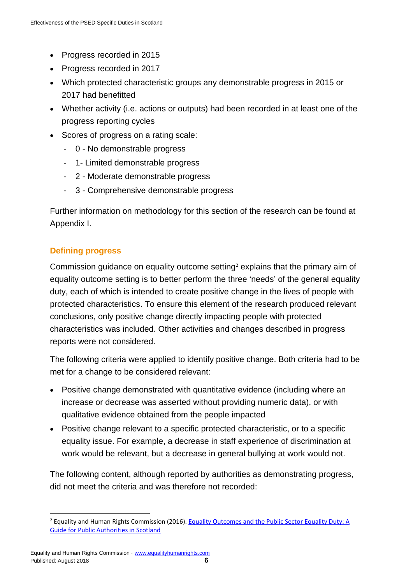- Progress recorded in 2015
- Progress recorded in 2017
- Which protected characteristic groups any demonstrable progress in 2015 or 2017 had benefitted
- Whether activity (i.e. actions or outputs) had been recorded in at least one of the progress reporting cycles
- Scores of progress on a rating scale:
	- 0 No demonstrable progress
	- 1- Limited demonstrable progress
	- 2 Moderate demonstrable progress
	- 3 Comprehensive demonstrable progress

Further information on methodology for this section of the research can be found at Appendix I.

# **Defining progress**

Commission guidance on equality outcome setting<sup>[2](#page-6-0)</sup> explains that the primary aim of equality outcome setting is to better perform the three 'needs' of the general equality duty, each of which is intended to create positive change in the lives of people with protected characteristics. To ensure this element of the research produced relevant conclusions, only positive change directly impacting people with protected characteristics was included. Other activities and changes described in progress reports were not considered.

The following criteria were applied to identify positive change. Both criteria had to be met for a change to be considered relevant:

- Positive change demonstrated with quantitative evidence (including where an increase or decrease was asserted without providing numeric data), or with qualitative evidence obtained from the people impacted
- Positive change relevant to a specific protected characteristic, or to a specific equality issue. For example, a decrease in staff experience of discrimination at work would be relevant, but a decrease in general bullying at work would not.

The following content, although reported by authorities as demonstrating progress, did not meet the criteria and was therefore not recorded:

<span id="page-6-0"></span><sup>&</sup>lt;sup>2</sup> Equality and Human Rights Commission (2016). Equality Outcomes and the Public Sector Equality Duty: A [Guide for Public Authorities in Scotland](https://www.equalityhumanrights.com/en/publication-download/equality-outcomes-and-public-sector-equality-duty-guide-public-authorities)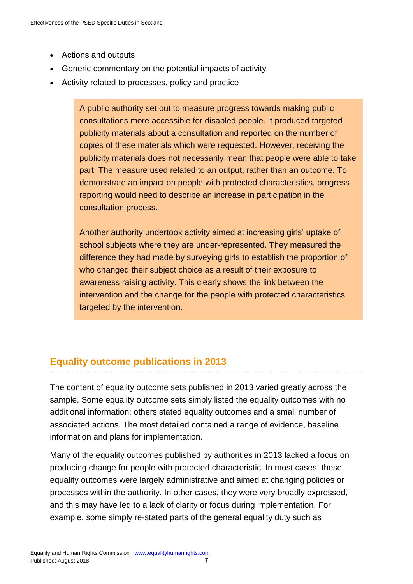- Actions and outputs
- Generic commentary on the potential impacts of activity
- Activity related to processes, policy and practice

A public authority set out to measure progress towards making public consultations more accessible for disabled people. It produced targeted publicity materials about a consultation and reported on the number of copies of these materials which were requested. However, receiving the publicity materials does not necessarily mean that people were able to take part. The measure used related to an output, rather than an outcome. To demonstrate an impact on people with protected characteristics, progress reporting would need to describe an increase in participation in the consultation process.

Another authority undertook activity aimed at increasing girls' uptake of school subjects where they are under-represented. They measured the difference they had made by surveying girls to establish the proportion of who changed their subject choice as a result of their exposure to awareness raising activity. This clearly shows the link between the intervention and the change for the people with protected characteristics targeted by the intervention.

# <span id="page-7-0"></span>**Equality outcome publications in 2013**

The content of equality outcome sets published in 2013 varied greatly across the sample. Some equality outcome sets simply listed the equality outcomes with no additional information; others stated equality outcomes and a small number of associated actions. The most detailed contained a range of evidence, baseline information and plans for implementation.

Many of the equality outcomes published by authorities in 2013 lacked a focus on producing change for people with protected characteristic. In most cases, these equality outcomes were largely administrative and aimed at changing policies or processes within the authority. In other cases, they were very broadly expressed, and this may have led to a lack of clarity or focus during implementation. For example, some simply re-stated parts of the general equality duty such as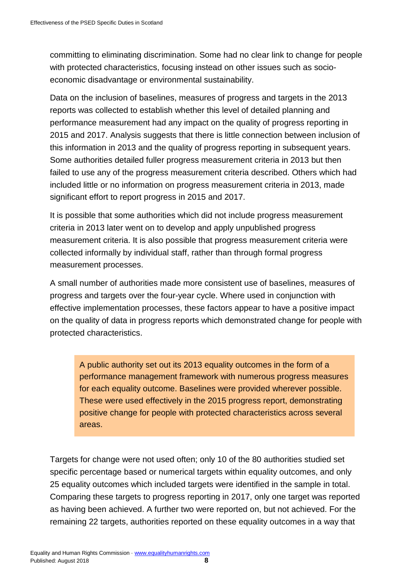committing to eliminating discrimination. Some had no clear link to change for people with protected characteristics, focusing instead on other issues such as socioeconomic disadvantage or environmental sustainability.

Data on the inclusion of baselines, measures of progress and targets in the 2013 reports was collected to establish whether this level of detailed planning and performance measurement had any impact on the quality of progress reporting in 2015 and 2017. Analysis suggests that there is little connection between inclusion of this information in 2013 and the quality of progress reporting in subsequent years. Some authorities detailed fuller progress measurement criteria in 2013 but then failed to use any of the progress measurement criteria described. Others which had included little or no information on progress measurement criteria in 2013, made significant effort to report progress in 2015 and 2017.

It is possible that some authorities which did not include progress measurement criteria in 2013 later went on to develop and apply unpublished progress measurement criteria. It is also possible that progress measurement criteria were collected informally by individual staff, rather than through formal progress measurement processes.

A small number of authorities made more consistent use of baselines, measures of progress and targets over the four-year cycle. Where used in conjunction with effective implementation processes, these factors appear to have a positive impact on the quality of data in progress reports which demonstrated change for people with protected characteristics.

A public authority set out its 2013 equality outcomes in the form of a performance management framework with numerous progress measures for each equality outcome. Baselines were provided wherever possible. These were used effectively in the 2015 progress report, demonstrating positive change for people with protected characteristics across several areas.

Targets for change were not used often; only 10 of the 80 authorities studied set specific percentage based or numerical targets within equality outcomes, and only 25 equality outcomes which included targets were identified in the sample in total. Comparing these targets to progress reporting in 2017, only one target was reported as having been achieved. A further two were reported on, but not achieved. For the remaining 22 targets, authorities reported on these equality outcomes in a way that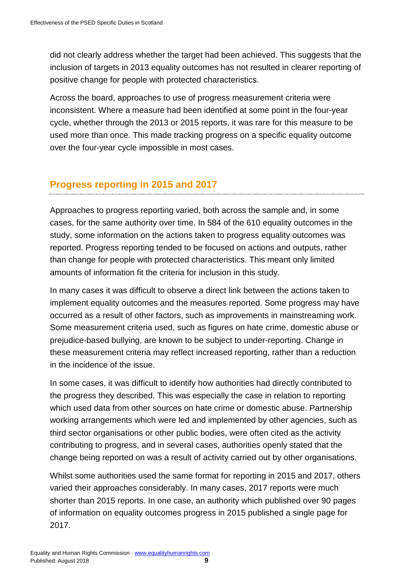did not clearly address whether the target had been achieved. This suggests that the inclusion of targets in 2013 equality outcomes has not resulted in clearer reporting of positive change for people with protected characteristics.

Across the board, approaches to use of progress measurement criteria were inconsistent. Where a measure had been identified at some point in the four-year cycle, whether through the 2013 or 2015 reports, it was rare for this measure to be used more than once. This made tracking progress on a specific equality outcome over the four-year cycle impossible in most cases.

# <span id="page-9-0"></span>**Progress reporting in 2015 and 2017**

Approaches to progress reporting varied, both across the sample and, in some cases, for the same authority over time. In 584 of the 610 equality outcomes in the study, some information on the actions taken to progress equality outcomes was reported. Progress reporting tended to be focused on actions and outputs, rather than change for people with protected characteristics. This meant only limited amounts of information fit the criteria for inclusion in this study.

In many cases it was difficult to observe a direct link between the actions taken to implement equality outcomes and the measures reported. Some progress may have occurred as a result of other factors, such as improvements in mainstreaming work. Some measurement criteria used, such as figures on hate crime, domestic abuse or prejudice-based bullying, are known to be subject to under-reporting. Change in these measurement criteria may reflect increased reporting, rather than a reduction in the incidence of the issue.

In some cases, it was difficult to identify how authorities had directly contributed to the progress they described. This was especially the case in relation to reporting which used data from other sources on hate crime or domestic abuse. Partnership working arrangements which were led and implemented by other agencies, such as third sector organisations or other public bodies, were often cited as the activity contributing to progress, and in several cases, authorities openly stated that the change being reported on was a result of activity carried out by other organisations.

Whilst some authorities used the same format for reporting in 2015 and 2017, others varied their approaches considerably. In many cases, 2017 reports were much shorter than 2015 reports. In one case, an authority which published over 90 pages of information on equality outcomes progress in 2015 published a single page for 2017.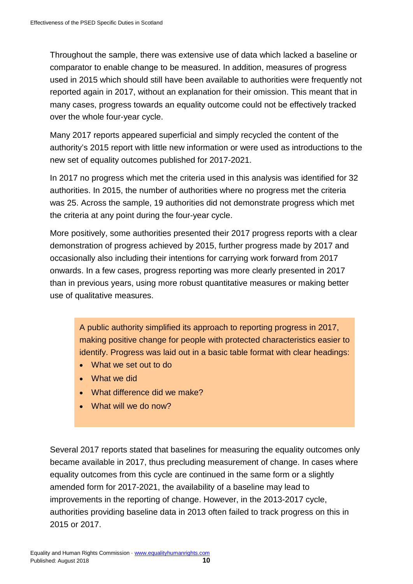Throughout the sample, there was extensive use of data which lacked a baseline or comparator to enable change to be measured. In addition, measures of progress used in 2015 which should still have been available to authorities were frequently not reported again in 2017, without an explanation for their omission. This meant that in many cases, progress towards an equality outcome could not be effectively tracked over the whole four-year cycle.

Many 2017 reports appeared superficial and simply recycled the content of the authority's 2015 report with little new information or were used as introductions to the new set of equality outcomes published for 2017-2021.

In 2017 no progress which met the criteria used in this analysis was identified for 32 authorities. In 2015, the number of authorities where no progress met the criteria was 25. Across the sample, 19 authorities did not demonstrate progress which met the criteria at any point during the four-year cycle.

More positively, some authorities presented their 2017 progress reports with a clear demonstration of progress achieved by 2015, further progress made by 2017 and occasionally also including their intentions for carrying work forward from 2017 onwards. In a few cases, progress reporting was more clearly presented in 2017 than in previous years, using more robust quantitative measures or making better use of qualitative measures.

A public authority simplified its approach to reporting progress in 2017, making positive change for people with protected characteristics easier to identify. Progress was laid out in a basic table format with clear headings:

- What we set out to do
- What we did
- What difference did we make?
- What will we do now?

Several 2017 reports stated that baselines for measuring the equality outcomes only became available in 2017, thus precluding measurement of change. In cases where equality outcomes from this cycle are continued in the same form or a slightly amended form for 2017-2021, the availability of a baseline may lead to improvements in the reporting of change. However, in the 2013-2017 cycle, authorities providing baseline data in 2013 often failed to track progress on this in 2015 or 2017.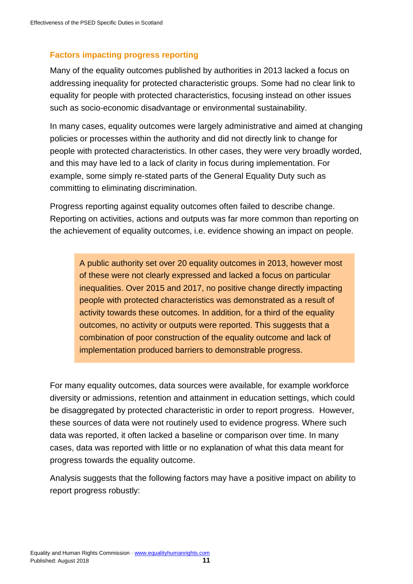# **Factors impacting progress reporting**

Many of the equality outcomes published by authorities in 2013 lacked a focus on addressing inequality for protected characteristic groups. Some had no clear link to equality for people with protected characteristics, focusing instead on other issues such as socio-economic disadvantage or environmental sustainability.

In many cases, equality outcomes were largely administrative and aimed at changing policies or processes within the authority and did not directly link to change for people with protected characteristics. In other cases, they were very broadly worded, and this may have led to a lack of clarity in focus during implementation. For example, some simply re-stated parts of the General Equality Duty such as committing to eliminating discrimination.

Progress reporting against equality outcomes often failed to describe change. Reporting on activities, actions and outputs was far more common than reporting on the achievement of equality outcomes, i.e. evidence showing an impact on people.

A public authority set over 20 equality outcomes in 2013, however most of these were not clearly expressed and lacked a focus on particular inequalities. Over 2015 and 2017, no positive change directly impacting people with protected characteristics was demonstrated as a result of activity towards these outcomes. In addition, for a third of the equality outcomes, no activity or outputs were reported. This suggests that a combination of poor construction of the equality outcome and lack of implementation produced barriers to demonstrable progress.

For many equality outcomes, data sources were available, for example workforce diversity or admissions, retention and attainment in education settings, which could be disaggregated by protected characteristic in order to report progress. However, these sources of data were not routinely used to evidence progress. Where such data was reported, it often lacked a baseline or comparison over time. In many cases, data was reported with little or no explanation of what this data meant for progress towards the equality outcome.

Analysis suggests that the following factors may have a positive impact on ability to report progress robustly: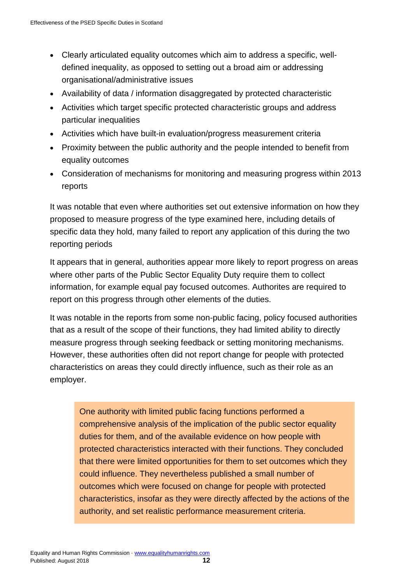- Clearly articulated equality outcomes which aim to address a specific, welldefined inequality, as opposed to setting out a broad aim or addressing organisational/administrative issues
- Availability of data / information disaggregated by protected characteristic
- Activities which target specific protected characteristic groups and address particular inequalities
- Activities which have built-in evaluation/progress measurement criteria
- Proximity between the public authority and the people intended to benefit from equality outcomes
- Consideration of mechanisms for monitoring and measuring progress within 2013 reports

It was notable that even where authorities set out extensive information on how they proposed to measure progress of the type examined here, including details of specific data they hold, many failed to report any application of this during the two reporting periods

It appears that in general, authorities appear more likely to report progress on areas where other parts of the Public Sector Equality Duty require them to collect information, for example equal pay focused outcomes. Authorites are required to report on this progress through other elements of the duties.

It was notable in the reports from some non-public facing, policy focused authorities that as a result of the scope of their functions, they had limited ability to directly measure progress through seeking feedback or setting monitoring mechanisms. However, these authorities often did not report change for people with protected characteristics on areas they could directly influence, such as their role as an employer.

One authority with limited public facing functions performed a comprehensive analysis of the implication of the public sector equality duties for them, and of the available evidence on how people with protected characteristics interacted with their functions. They concluded that there were limited opportunities for them to set outcomes which they could influence. They nevertheless published a small number of outcomes which were focused on change for people with protected characteristics, insofar as they were directly affected by the actions of the authority, and set realistic performance measurement criteria.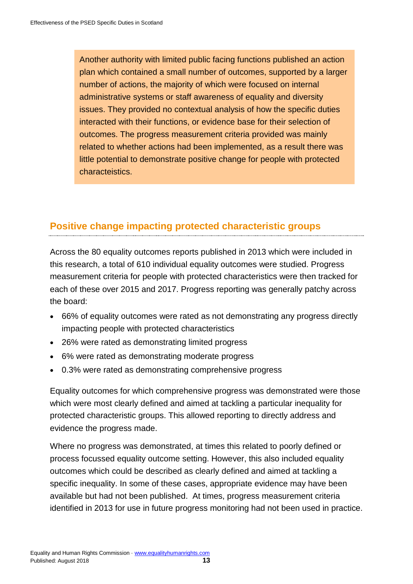Another authority with limited public facing functions published an action plan which contained a small number of outcomes, supported by a larger number of actions, the majority of which were focused on internal administrative systems or staff awareness of equality and diversity issues. They provided no contextual analysis of how the specific duties interacted with their functions, or evidence base for their selection of outcomes. The progress measurement criteria provided was mainly related to whether actions had been implemented, as a result there was little potential to demonstrate positive change for people with protected characteistics.

# <span id="page-13-0"></span>**Positive change impacting protected characteristic groups**

Across the 80 equality outcomes reports published in 2013 which were included in this research, a total of 610 individual equality outcomes were studied. Progress measurement criteria for people with protected characteristics were then tracked for each of these over 2015 and 2017. Progress reporting was generally patchy across the board:

- 66% of equality outcomes were rated as not demonstrating any progress directly impacting people with protected characteristics
- 26% were rated as demonstrating limited progress
- 6% were rated as demonstrating moderate progress
- 0.3% were rated as demonstrating comprehensive progress

Equality outcomes for which comprehensive progress was demonstrated were those which were most clearly defined and aimed at tackling a particular inequality for protected characteristic groups. This allowed reporting to directly address and evidence the progress made.

Where no progress was demonstrated, at times this related to poorly defined or process focussed equality outcome setting. However, this also included equality outcomes which could be described as clearly defined and aimed at tackling a specific inequality. In some of these cases, appropriate evidence may have been available but had not been published. At times, progress measurement criteria identified in 2013 for use in future progress monitoring had not been used in practice.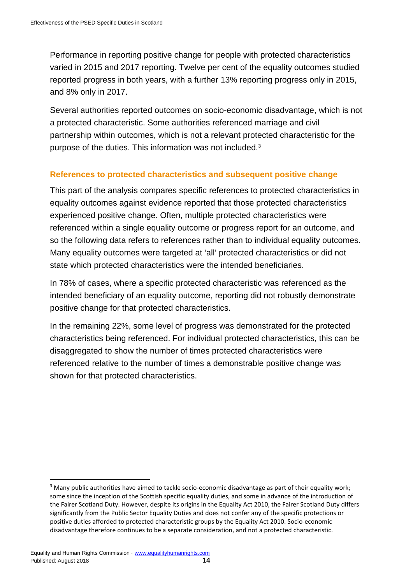Performance in reporting positive change for people with protected characteristics varied in 2015 and 2017 reporting. Twelve per cent of the equality outcomes studied reported progress in both years, with a further 13% reporting progress only in 2015, and 8% only in 2017.

Several authorities reported outcomes on socio-economic disadvantage, which is not a protected characteristic. Some authorities referenced marriage and civil partnership within outcomes, which is not a relevant protected characteristic for the purpose of the duties. This information was not included. [3](#page-14-0)

#### **References to protected characteristics and subsequent positive change**

This part of the analysis compares specific references to protected characteristics in equality outcomes against evidence reported that those protected characteristics experienced positive change. Often, multiple protected characteristics were referenced within a single equality outcome or progress report for an outcome, and so the following data refers to references rather than to individual equality outcomes. Many equality outcomes were targeted at 'all' protected characteristics or did not state which protected characteristics were the intended beneficiaries.

In 78% of cases, where a specific protected characteristic was referenced as the intended beneficiary of an equality outcome, reporting did not robustly demonstrate positive change for that protected characteristics.

In the remaining 22%, some level of progress was demonstrated for the protected characteristics being referenced. For individual protected characteristics, this can be disaggregated to show the number of times protected characteristics were referenced relative to the number of times a demonstrable positive change was shown for that protected characteristics.

<span id="page-14-0"></span><sup>&</sup>lt;sup>3</sup> Many public authorities have aimed to tackle socio-economic disadvantage as part of their equality work; some since the inception of the Scottish specific equality duties, and some in advance of the introduction of the Fairer Scotland Duty. However, despite its origins in the Equality Act 2010, the Fairer Scotland Duty differs significantly from the Public Sector Equality Duties and does not confer any of the specific protections or positive duties afforded to protected characteristic groups by the Equality Act 2010. Socio-economic disadvantage therefore continues to be a separate consideration, and not a protected characteristic.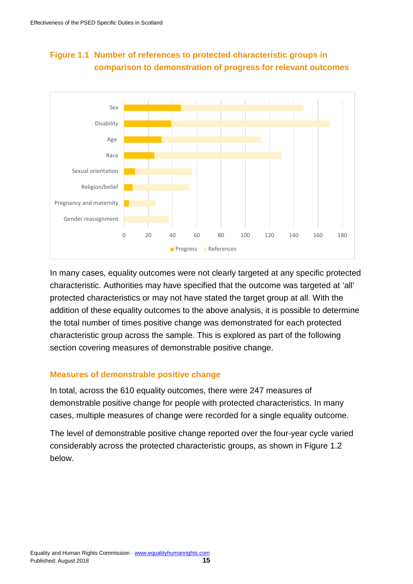

# **Figure 1.1 Number of references to protected characteristic groups in comparison to demonstration of progress for relevant outcomes**

In many cases, equality outcomes were not clearly targeted at any specific protected characteristic. Authorities may have specified that the outcome was targeted at 'all' protected characteristics or may not have stated the target group at all. With the addition of these equality outcomes to the above analysis, it is possible to determine the total number of times positive change was demonstrated for each protected characteristic group across the sample. This is explored as part of the following section covering measures of demonstrable positive change.

#### **Measures of demonstrable positive change**

In total, across the 610 equality outcomes, there were 247 measures of demonstrable positive change for people with protected characteristics. In many cases, multiple measures of change were recorded for a single equality outcome.

The level of demonstrable positive change reported over the four-year cycle varied considerably across the protected characteristic groups, as shown in Figure 1.2 below.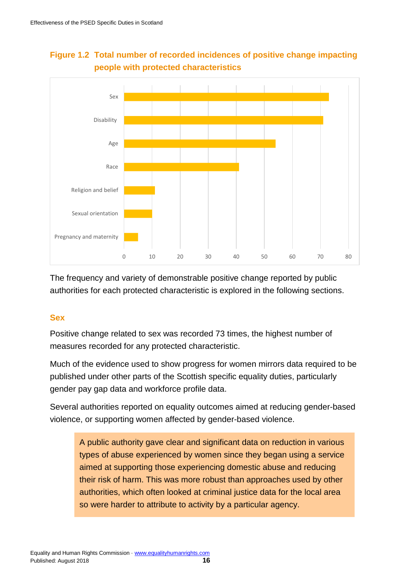

# **Figure 1.2 Total number of recorded incidences of positive change impacting people with protected characteristics**

The frequency and variety of demonstrable positive change reported by public authorities for each protected characteristic is explored in the following sections.

# **Sex**

Positive change related to sex was recorded 73 times, the highest number of measures recorded for any protected characteristic.

Much of the evidence used to show progress for women mirrors data required to be published under other parts of the Scottish specific equality duties, particularly gender pay gap data and workforce profile data.

Several authorities reported on equality outcomes aimed at reducing gender-based violence, or supporting women affected by gender-based violence.

A public authority gave clear and significant data on reduction in various types of abuse experienced by women since they began using a service aimed at supporting those experiencing domestic abuse and reducing their risk of harm. This was more robust than approaches used by other authorities, which often looked at criminal justice data for the local area so were harder to attribute to activity by a particular agency.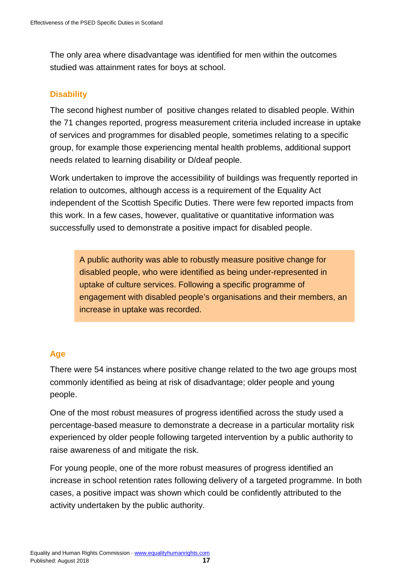The only area where disadvantage was identified for men within the outcomes studied was attainment rates for boys at school.

#### **Disability**

The second highest number of positive changes related to disabled people. Within the 71 changes reported, progress measurement criteria included increase in uptake of services and programmes for disabled people, sometimes relating to a specific group, for example those experiencing mental health problems, additional support needs related to learning disability or D/deaf people.

Work undertaken to improve the accessibility of buildings was frequently reported in relation to outcomes, although access is a requirement of the Equality Act independent of the Scottish Specific Duties. There were few reported impacts from this work. In a few cases, however, qualitative or quantitative information was successfully used to demonstrate a positive impact for disabled people.

A public authority was able to robustly measure positive change for disabled people, who were identified as being under-represented in uptake of culture services. Following a specific programme of engagement with disabled people's organisations and their members, an increase in uptake was recorded.

#### **Age**

There were 54 instances where positive change related to the two age groups most commonly identified as being at risk of disadvantage; older people and young people.

One of the most robust measures of progress identified across the study used a percentage-based measure to demonstrate a decrease in a particular mortality risk experienced by older people following targeted intervention by a public authority to raise awareness of and mitigate the risk.

For young people, one of the more robust measures of progress identified an increase in school retention rates following delivery of a targeted programme. In both cases, a positive impact was shown which could be confidently attributed to the activity undertaken by the public authority.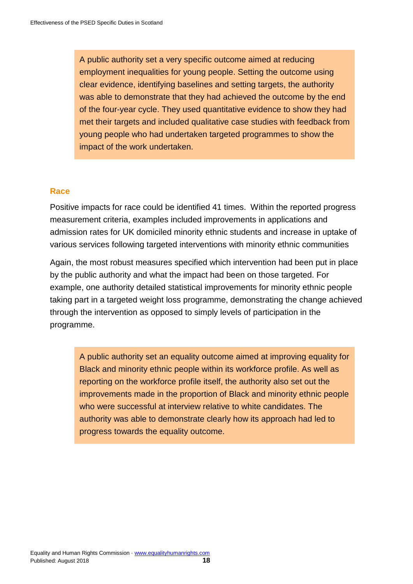A public authority set a very specific outcome aimed at reducing employment inequalities for young people. Setting the outcome using clear evidence, identifying baselines and setting targets, the authority was able to demonstrate that they had achieved the outcome by the end of the four-year cycle. They used quantitative evidence to show they had met their targets and included qualitative case studies with feedback from young people who had undertaken targeted programmes to show the impact of the work undertaken.

#### **Race**

Positive impacts for race could be identified 41 times. Within the reported progress measurement criteria, examples included improvements in applications and admission rates for UK domiciled minority ethnic students and increase in uptake of various services following targeted interventions with minority ethnic communities

Again, the most robust measures specified which intervention had been put in place by the public authority and what the impact had been on those targeted. For example, one authority detailed statistical improvements for minority ethnic people taking part in a targeted weight loss programme, demonstrating the change achieved through the intervention as opposed to simply levels of participation in the programme.

A public authority set an equality outcome aimed at improving equality for Black and minority ethnic people within its workforce profile. As well as reporting on the workforce profile itself, the authority also set out the improvements made in the proportion of Black and minority ethnic people who were successful at interview relative to white candidates. The authority was able to demonstrate clearly how its approach had led to progress towards the equality outcome.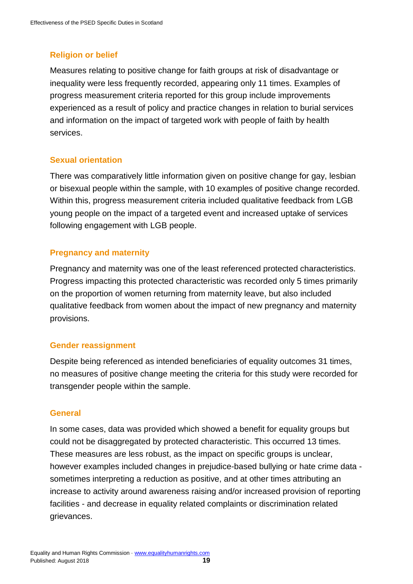# **Religion or belief**

Measures relating to positive change for faith groups at risk of disadvantage or inequality were less frequently recorded, appearing only 11 times. Examples of progress measurement criteria reported for this group include improvements experienced as a result of policy and practice changes in relation to burial services and information on the impact of targeted work with people of faith by health services.

#### **Sexual orientation**

There was comparatively little information given on positive change for gay, lesbian or bisexual people within the sample, with 10 examples of positive change recorded. Within this, progress measurement criteria included qualitative feedback from LGB young people on the impact of a targeted event and increased uptake of services following engagement with LGB people.

#### **Pregnancy and maternity**

Pregnancy and maternity was one of the least referenced protected characteristics. Progress impacting this protected characteristic was recorded only 5 times primarily on the proportion of women returning from maternity leave, but also included qualitative feedback from women about the impact of new pregnancy and maternity provisions.

#### **Gender reassignment**

Despite being referenced as intended beneficiaries of equality outcomes 31 times, no measures of positive change meeting the criteria for this study were recorded for transgender people within the sample.

#### **General**

In some cases, data was provided which showed a benefit for equality groups but could not be disaggregated by protected characteristic. This occurred 13 times. These measures are less robust, as the impact on specific groups is unclear, however examples included changes in prejudice-based bullying or hate crime data sometimes interpreting a reduction as positive, and at other times attributing an increase to activity around awareness raising and/or increased provision of reporting facilities - and decrease in equality related complaints or discrimination related grievances.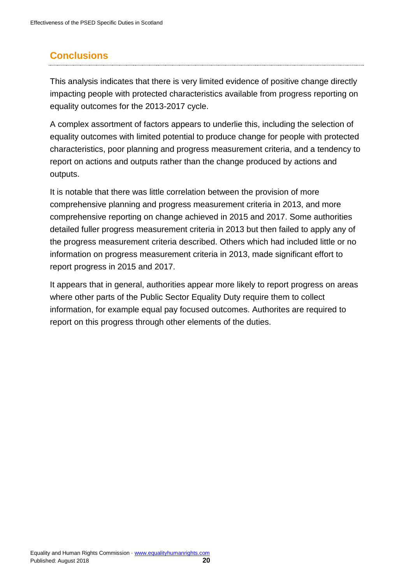# <span id="page-20-0"></span>**Conclusions**

This analysis indicates that there is very limited evidence of positive change directly impacting people with protected characteristics available from progress reporting on equality outcomes for the 2013-2017 cycle.

A complex assortment of factors appears to underlie this, including the selection of equality outcomes with limited potential to produce change for people with protected characteristics, poor planning and progress measurement criteria, and a tendency to report on actions and outputs rather than the change produced by actions and outputs.

It is notable that there was little correlation between the provision of more comprehensive planning and progress measurement criteria in 2013, and more comprehensive reporting on change achieved in 2015 and 2017. Some authorities detailed fuller progress measurement criteria in 2013 but then failed to apply any of the progress measurement criteria described. Others which had included little or no information on progress measurement criteria in 2013, made significant effort to report progress in 2015 and 2017.

It appears that in general, authorities appear more likely to report progress on areas where other parts of the Public Sector Equality Duty require them to collect information, for example equal pay focused outcomes. Authorites are required to report on this progress through other elements of the duties.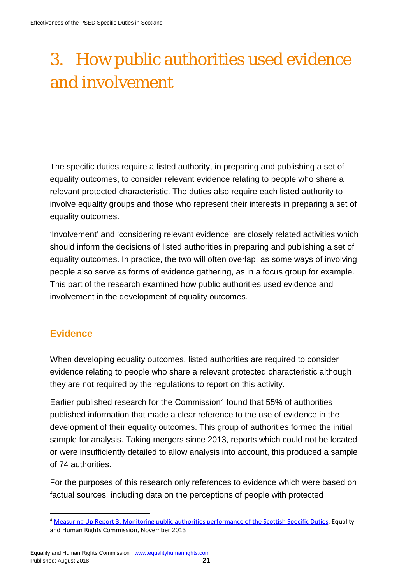# <span id="page-21-0"></span>3. How public authorities used evidence and involvement

The specific duties require a listed authority, in preparing and publishing a set of equality outcomes, to consider relevant evidence relating to people who share a relevant protected characteristic. The duties also require each listed authority to involve equality groups and those who represent their interests in preparing a set of equality outcomes.

'Involvement' and 'considering relevant evidence' are closely related activities which should inform the decisions of listed authorities in preparing and publishing a set of equality outcomes. In practice, the two will often overlap, as some ways of involving people also serve as forms of evidence gathering, as in a focus group for example. This part of the research examined how public authorities used evidence and involvement in the development of equality outcomes.

# <span id="page-21-1"></span>**Evidence**

When developing equality outcomes, listed authorities are required to consider evidence relating to people who share a relevant protected characteristic although they are not required by the regulations to report on this activity.

Earlier published research for the Commission<sup>[4](#page-21-2)</sup> found that  $55\%$  of authorities published information that made a clear reference to the use of evidence in the development of their equality outcomes. This group of authorities formed the initial sample for analysis. Taking mergers since 2013, reports which could not be located or were insufficiently detailed to allow analysis into account, this produced a sample of 74 authorities.

For the purposes of this research only references to evidence which were based on factual sources, including data on the perceptions of people with protected

<span id="page-21-2"></span><sup>4</sup> [Measuring Up Report 3: Monitoring public authorities performance of the Scottish Specific Duties,](https://www.equalityhumanrights.com/en/public-sector-equality-duty-scotland/scotland-public-sector-equality-duty-projects/measuring) Equality and Human Rights Commission, November 2013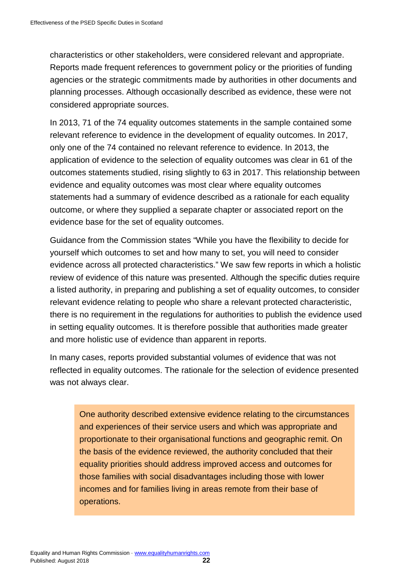characteristics or other stakeholders, were considered relevant and appropriate. Reports made frequent references to government policy or the priorities of funding agencies or the strategic commitments made by authorities in other documents and planning processes. Although occasionally described as evidence, these were not considered appropriate sources.

In 2013, 71 of the 74 equality outcomes statements in the sample contained some relevant reference to evidence in the development of equality outcomes. In 2017, only one of the 74 contained no relevant reference to evidence. In 2013, the application of evidence to the selection of equality outcomes was clear in 61 of the outcomes statements studied, rising slightly to 63 in 2017. This relationship between evidence and equality outcomes was most clear where equality outcomes statements had a summary of evidence described as a rationale for each equality outcome, or where they supplied a separate chapter or associated report on the evidence base for the set of equality outcomes.

Guidance from the Commission states "While you have the flexibility to decide for yourself which outcomes to set and how many to set, you will need to consider evidence across all protected characteristics." We saw few reports in which a holistic review of evidence of this nature was presented. Although the specific duties require a listed authority, in preparing and publishing a set of equality outcomes, to consider relevant evidence relating to people who share a relevant protected characteristic, there is no requirement in the regulations for authorities to publish the evidence used in setting equality outcomes. It is therefore possible that authorities made greater and more holistic use of evidence than apparent in reports.

In many cases, reports provided substantial volumes of evidence that was not reflected in equality outcomes. The rationale for the selection of evidence presented was not always clear.

One authority described extensive evidence relating to the circumstances and experiences of their service users and which was appropriate and proportionate to their organisational functions and geographic remit. On the basis of the evidence reviewed, the authority concluded that their equality priorities should address improved access and outcomes for those families with social disadvantages including those with lower incomes and for families living in areas remote from their base of operations.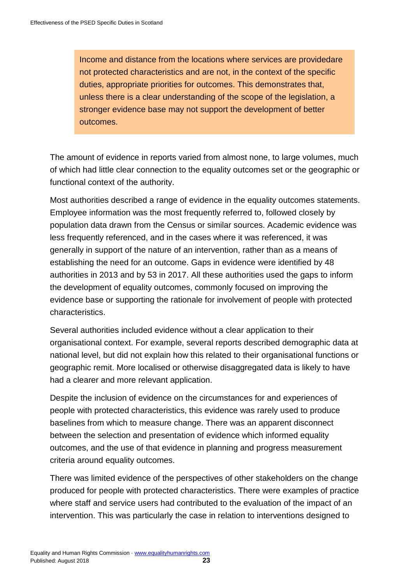Income and distance from the locations where services are providedare not protected characteristics and are not, in the context of the specific duties, appropriate priorities for outcomes. This demonstrates that, unless there is a clear understanding of the scope of the legislation, a stronger evidence base may not support the development of better outcomes.

The amount of evidence in reports varied from almost none, to large volumes, much of which had little clear connection to the equality outcomes set or the geographic or functional context of the authority.

Most authorities described a range of evidence in the equality outcomes statements. Employee information was the most frequently referred to, followed closely by population data drawn from the Census or similar sources. Academic evidence was less frequently referenced, and in the cases where it was referenced, it was generally in support of the nature of an intervention, rather than as a means of establishing the need for an outcome. Gaps in evidence were identified by 48 authorities in 2013 and by 53 in 2017. All these authorities used the gaps to inform the development of equality outcomes, commonly focused on improving the evidence base or supporting the rationale for involvement of people with protected characteristics.

Several authorities included evidence without a clear application to their organisational context. For example, several reports described demographic data at national level, but did not explain how this related to their organisational functions or geographic remit. More localised or otherwise disaggregated data is likely to have had a clearer and more relevant application.

Despite the inclusion of evidence on the circumstances for and experiences of people with protected characteristics, this evidence was rarely used to produce baselines from which to measure change. There was an apparent disconnect between the selection and presentation of evidence which informed equality outcomes, and the use of that evidence in planning and progress measurement criteria around equality outcomes.

There was limited evidence of the perspectives of other stakeholders on the change produced for people with protected characteristics. There were examples of practice where staff and service users had contributed to the evaluation of the impact of an intervention. This was particularly the case in relation to interventions designed to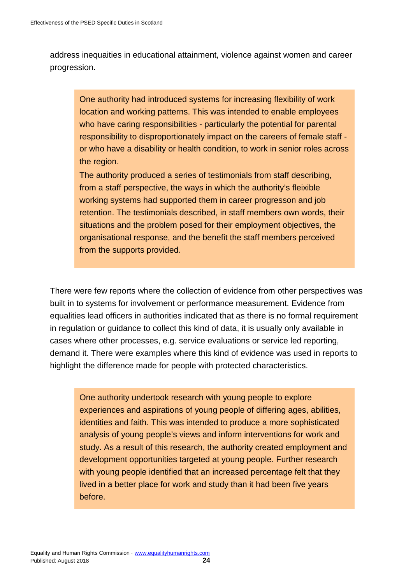address inequaities in educational attainment, violence against women and career progression.

One authority had introduced systems for increasing flexibility of work location and working patterns. This was intended to enable employees who have caring responsibilities - particularly the potential for parental responsibility to disproportionately impact on the careers of female staff or who have a disability or health condition, to work in senior roles across the region.

The authority produced a series of testimonials from staff describing, from a staff perspective, the ways in which the authority's fleixible working systems had supported them in career progresson and job retention. The testimonials described, in staff members own words, their situations and the problem posed for their employment objectives, the organisational response, and the benefit the staff members perceived from the supports provided.

There were few reports where the collection of evidence from other perspectives was built in to systems for involvement or performance measurement. Evidence from equalities lead officers in authorities indicated that as there is no formal requirement in regulation or guidance to collect this kind of data, it is usually only available in cases where other processes, e.g. service evaluations or service led reporting, demand it. There were examples where this kind of evidence was used in reports to highlight the difference made for people with protected characteristics.

One authority undertook research with young people to explore experiences and aspirations of young people of differing ages, abilities, identities and faith. This was intended to produce a more sophisticated analysis of young people's views and inform interventions for work and study. As a result of this research, the authority created employment and development opportunities targeted at young people. Further research with young people identified that an increased percentage felt that they lived in a better place for work and study than it had been five years before.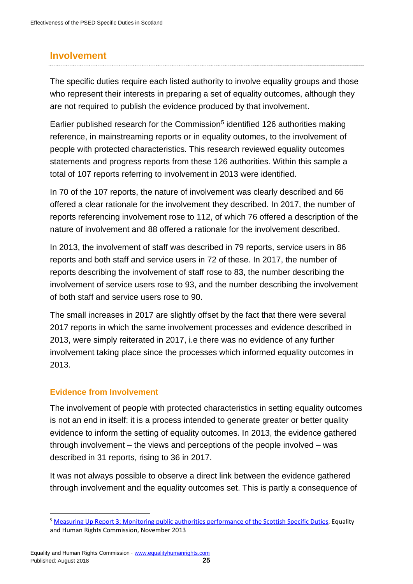# <span id="page-25-0"></span>**Involvement**

The specific duties require each listed authority to involve equality groups and those who represent their interests in preparing a set of equality outcomes, although they are not required to publish the evidence produced by that involvement.

Earlier published research for the Commission<sup>[5](#page-25-1)</sup> identified 126 authorities making reference, in mainstreaming reports or in equality outomes, to the involvement of people with protected characteristics. This research reviewed equality outcomes statements and progress reports from these 126 authorities. Within this sample a total of 107 reports referring to involvement in 2013 were identified.

In 70 of the 107 reports, the nature of involvement was clearly described and 66 offered a clear rationale for the involvement they described. In 2017, the number of reports referencing involvement rose to 112, of which 76 offered a description of the nature of involvement and 88 offered a rationale for the involvement described.

In 2013, the involvement of staff was described in 79 reports, service users in 86 reports and both staff and service users in 72 of these. In 2017, the number of reports describing the involvement of staff rose to 83, the number describing the involvement of service users rose to 93, and the number describing the involvement of both staff and service users rose to 90.

The small increases in 2017 are slightly offset by the fact that there were several 2017 reports in which the same involvement processes and evidence described in 2013, were simply reiterated in 2017, i.e there was no evidence of any further involvement taking place since the processes which informed equality outcomes in 2013.

# **Evidence from Involvement**

The involvement of people with protected characteristics in setting equality outcomes is not an end in itself: it is a process intended to generate greater or better quality evidence to inform the setting of equality outcomes. In 2013, the evidence gathered through involvement – the views and perceptions of the people involved – was described in 31 reports, rising to 36 in 2017.

It was not always possible to observe a direct link between the evidence gathered through involvement and the equality outcomes set. This is partly a consequence of

<span id="page-25-1"></span><sup>5</sup> [Measuring Up Report 3: Monitoring public authorities performance of the Scottish Specific Duties,](https://www.equalityhumanrights.com/en/public-sector-equality-duty-scotland/scotland-public-sector-equality-duty-projects/measuring) Equality and Human Rights Commission, November 2013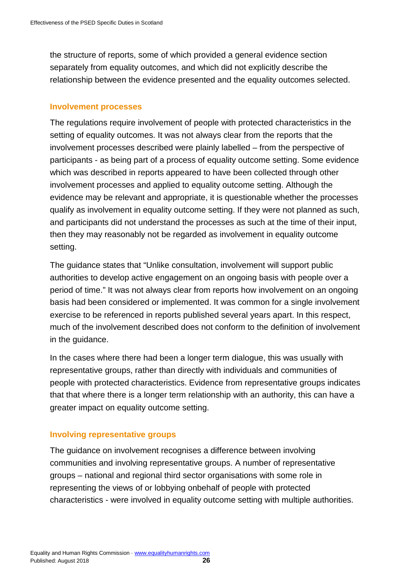the structure of reports, some of which provided a general evidence section separately from equality outcomes, and which did not explicitly describe the relationship between the evidence presented and the equality outcomes selected.

#### **Involvement processes**

The regulations require involvement of people with protected characteristics in the setting of equality outcomes. It was not always clear from the reports that the involvement processes described were plainly labelled – from the perspective of participants - as being part of a process of equality outcome setting. Some evidence which was described in reports appeared to have been collected through other involvement processes and applied to equality outcome setting. Although the evidence may be relevant and appropriate, it is questionable whether the processes qualify as involvement in equality outcome setting. If they were not planned as such, and participants did not understand the processes as such at the time of their input, then they may reasonably not be regarded as involvement in equality outcome setting.

The guidance states that "Unlike consultation, involvement will support public authorities to develop active engagement on an ongoing basis with people over a period of time." It was not always clear from reports how involvement on an ongoing basis had been considered or implemented. It was common for a single involvement exercise to be referenced in reports published several years apart. In this respect, much of the involvement described does not conform to the definition of involvement in the guidance.

In the cases where there had been a longer term dialogue, this was usually with representative groups, rather than directly with individuals and communities of people with protected characteristics. Evidence from representative groups indicates that that where there is a longer term relationship with an authority, this can have a greater impact on equality outcome setting.

#### **Involving representative groups**

The guidance on involvement recognises a difference between involving communities and involving representative groups. A number of representative groups – national and regional third sector organisations with some role in representing the views of or lobbying onbehalf of people with protected characteristics - were involved in equality outcome setting with multiple authorities.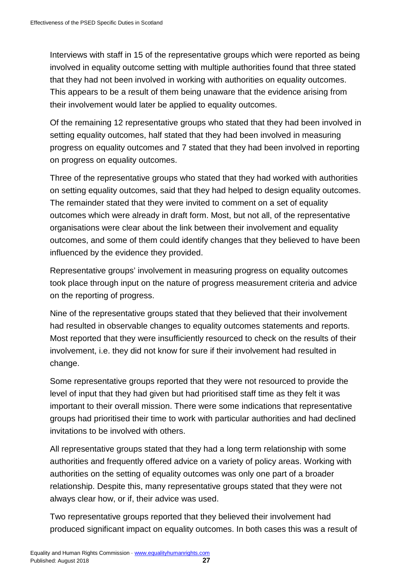Interviews with staff in 15 of the representative groups which were reported as being involved in equality outcome setting with multiple authorities found that three stated that they had not been involved in working with authorities on equality outcomes. This appears to be a result of them being unaware that the evidence arising from their involvement would later be applied to equality outcomes.

Of the remaining 12 representative groups who stated that they had been involved in setting equality outcomes, half stated that they had been involved in measuring progress on equality outcomes and 7 stated that they had been involved in reporting on progress on equality outcomes.

Three of the representative groups who stated that they had worked with authorities on setting equality outcomes, said that they had helped to design equality outcomes. The remainder stated that they were invited to comment on a set of equality outcomes which were already in draft form. Most, but not all, of the representative organisations were clear about the link between their involvement and equality outcomes, and some of them could identify changes that they believed to have been influenced by the evidence they provided.

Representative groups' involvement in measuring progress on equality outcomes took place through input on the nature of progress measurement criteria and advice on the reporting of progress.

Nine of the representative groups stated that they believed that their involvement had resulted in observable changes to equality outcomes statements and reports. Most reported that they were insufficiently resourced to check on the results of their involvement, i.e. they did not know for sure if their involvement had resulted in change.

Some representative groups reported that they were not resourced to provide the level of input that they had given but had prioritised staff time as they felt it was important to their overall mission. There were some indications that representative groups had prioritised their time to work with particular authorities and had declined invitations to be involved with others.

All representative groups stated that they had a long term relationship with some authorities and frequently offered advice on a variety of policy areas. Working with authorities on the setting of equality outcomes was only one part of a broader relationship. Despite this, many representative groups stated that they were not always clear how, or if, their advice was used.

Two representative groups reported that they believed their involvement had produced significant impact on equality outcomes. In both cases this was a result of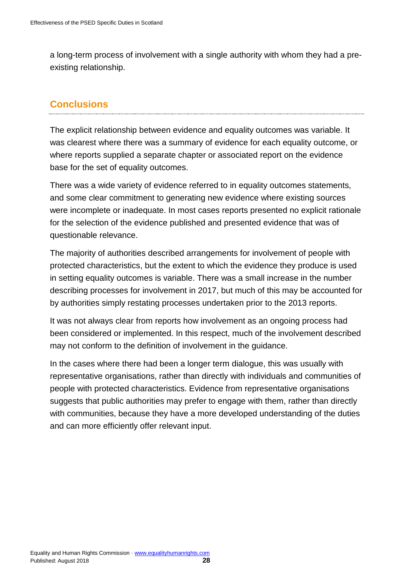a long-term process of involvement with a single authority with whom they had a preexisting relationship.

# <span id="page-28-0"></span>**Conclusions**

The explicit relationship between evidence and equality outcomes was variable. It was clearest where there was a summary of evidence for each equality outcome, or where reports supplied a separate chapter or associated report on the evidence base for the set of equality outcomes.

There was a wide variety of evidence referred to in equality outcomes statements, and some clear commitment to generating new evidence where existing sources were incomplete or inadequate. In most cases reports presented no explicit rationale for the selection of the evidence published and presented evidence that was of questionable relevance.

The majority of authorities described arrangements for involvement of people with protected characteristics, but the extent to which the evidence they produce is used in setting equality outcomes is variable. There was a small increase in the number describing processes for involvement in 2017, but much of this may be accounted for by authorities simply restating processes undertaken prior to the 2013 reports.

It was not always clear from reports how involvement as an ongoing process had been considered or implemented. In this respect, much of the involvement described may not conform to the definition of involvement in the guidance.

In the cases where there had been a longer term dialogue, this was usually with representative organisations, rather than directly with individuals and communities of people with protected characteristics. Evidence from representative organisations suggests that public authorities may prefer to engage with them, rather than directly with communities, because they have a more developed understanding of the duties and can more efficiently offer relevant input.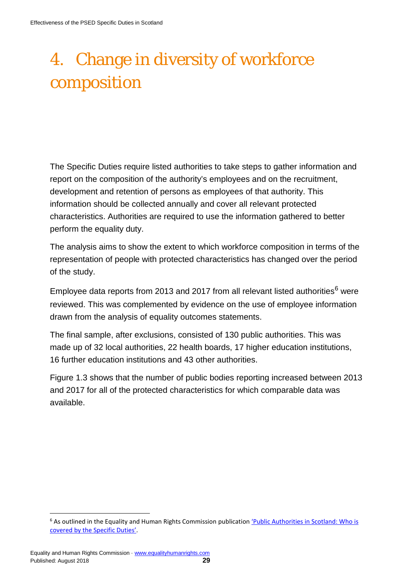# <span id="page-29-0"></span>4. Change in diversity of workforce composition

The Specific Duties require listed authorities to take steps to gather information and report on the composition of the authority's employees and on the recruitment, development and retention of persons as employees of that authority. This information should be collected annually and cover all relevant protected characteristics. Authorities are required to use the information gathered to better perform the equality duty.

The analysis aims to show the extent to which workforce composition in terms of the representation of people with protected characteristics has changed over the period of the study.

Employee data reports from 2013 and 2017 from all relevant listed authorities $<sup>6</sup>$  $<sup>6</sup>$  $<sup>6</sup>$  were</sup> reviewed. This was complemented by evidence on the use of employee information drawn from the analysis of equality outcomes statements.

The final sample, after exclusions, consisted of 130 public authorities. This was made up of 32 local authorities, 22 health boards, 17 higher education institutions, 16 further education institutions and 43 other authorities.

Figure 1.3 shows that the number of public bodies reporting increased between 2013 and 2017 for all of the protected characteristics for which comparable data was available.

<span id="page-29-1"></span><sup>&</sup>lt;sup>6</sup> As outlined in the Equality and Human Rights Commission publication 'Public Authorities in Scotland: Who is [covered by the Specific Duties'.](https://www.equalityhumanrights.com/en/advice-and-guidance/public-authorities-scotland-who-covered-specific-duties)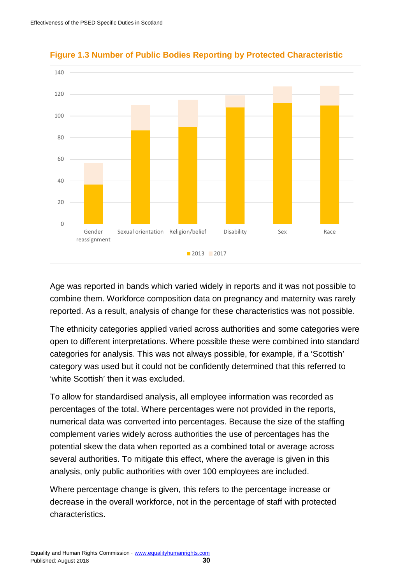

**Figure 1.3 Number of Public Bodies Reporting by Protected Characteristic**

Age was reported in bands which varied widely in reports and it was not possible to combine them. Workforce composition data on pregnancy and maternity was rarely reported. As a result, analysis of change for these characteristics was not possible.

The ethnicity categories applied varied across authorities and some categories were open to different interpretations. Where possible these were combined into standard categories for analysis. This was not always possible, for example, if a 'Scottish' category was used but it could not be confidently determined that this referred to 'white Scottish' then it was excluded.

To allow for standardised analysis, all employee information was recorded as percentages of the total. Where percentages were not provided in the reports, numerical data was converted into percentages. Because the size of the staffing complement varies widely across authorities the use of percentages has the potential skew the data when reported as a combined total or average across several authorities. To mitigate this effect, where the average is given in this analysis, only public authorities with over 100 employees are included.

Where percentage change is given, this refers to the percentage increase or decrease in the overall workforce, not in the percentage of staff with protected characteristics.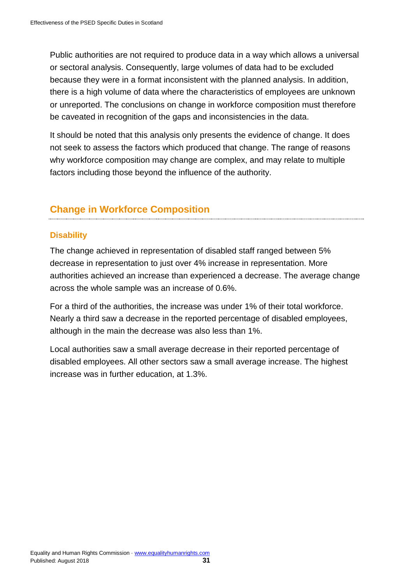Public authorities are not required to produce data in a way which allows a universal or sectoral analysis. Consequently, large volumes of data had to be excluded because they were in a format inconsistent with the planned analysis. In addition, there is a high volume of data where the characteristics of employees are unknown or unreported. The conclusions on change in workforce composition must therefore be caveated in recognition of the gaps and inconsistencies in the data.

It should be noted that this analysis only presents the evidence of change. It does not seek to assess the factors which produced that change. The range of reasons why workforce composition may change are complex, and may relate to multiple factors including those beyond the influence of the authority.

# **Change in Workforce Composition**

# **Disability**

The change achieved in representation of disabled staff ranged between 5% decrease in representation to just over 4% increase in representation. More authorities achieved an increase than experienced a decrease. The average change across the whole sample was an increase of 0.6%.

For a third of the authorities, the increase was under 1% of their total workforce. Nearly a third saw a decrease in the reported percentage of disabled employees, although in the main the decrease was also less than 1%.

Local authorities saw a small average decrease in their reported percentage of disabled employees. All other sectors saw a small average increase. The highest increase was in further education, at 1.3%.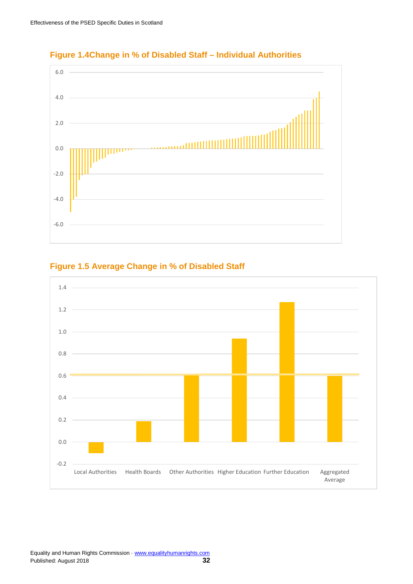

#### **Figure 1.4Change in % of Disabled Staff – Individual Authorities**

#### **Figure 1.5 Average Change in % of Disabled Staff**

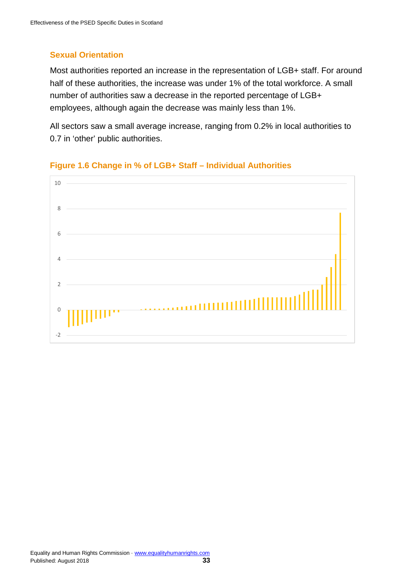# **Sexual Orientation**

Most authorities reported an increase in the representation of LGB+ staff. For around half of these authorities, the increase was under 1% of the total workforce. A small number of authorities saw a decrease in the reported percentage of LGB+ employees, although again the decrease was mainly less than 1%.

All sectors saw a small average increase, ranging from 0.2% in local authorities to 0.7 in 'other' public authorities.



#### **Figure 1.6 Change in % of LGB+ Staff – Individual Authorities**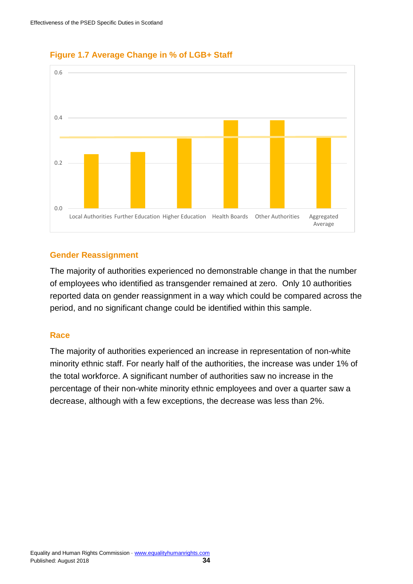



#### **Gender Reassignment**

The majority of authorities experienced no demonstrable change in that the number of employees who identified as transgender remained at zero. Only 10 authorities reported data on gender reassignment in a way which could be compared across the period, and no significant change could be identified within this sample.

#### **Race**

The majority of authorities experienced an increase in representation of non-white minority ethnic staff. For nearly half of the authorities, the increase was under 1% of the total workforce. A significant number of authorities saw no increase in the percentage of their non-white minority ethnic employees and over a quarter saw a decrease, although with a few exceptions, the decrease was less than 2%.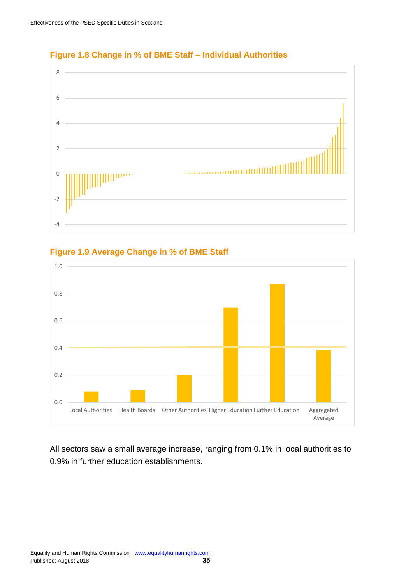

#### **Figure 1.8 Change in % of BME Staff – Individual Authorities**





All sectors saw a small average increase, ranging from 0.1% in local authorities to 0.9% in further education establishments.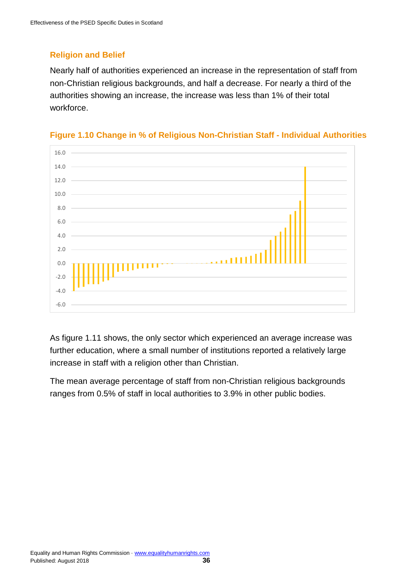# **Religion and Belief**

Nearly half of authorities experienced an increase in the representation of staff from non-Christian religious backgrounds, and half a decrease. For nearly a third of the authorities showing an increase, the increase was less than 1% of their total workforce.



#### **Figure 1.10 Change in % of Religious Non-Christian Staff - Individual Authorities**

As figure 1.11 shows, the only sector which experienced an average increase was further education, where a small number of institutions reported a relatively large increase in staff with a religion other than Christian.

The mean average percentage of staff from non-Christian religious backgrounds ranges from 0.5% of staff in local authorities to 3.9% in other public bodies.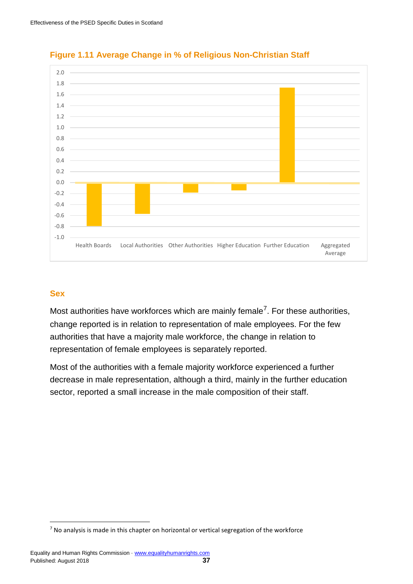



#### **Sex**

Most authorities have workforces which are mainly female<sup>7</sup>. For these authorities, change reported is in relation to representation of male employees. For the few authorities that have a majority male workforce, the change in relation to representation of female employees is separately reported.

Most of the authorities with a female majority workforce experienced a further decrease in male representation, although a third, mainly in the further education sector, reported a small increase in the male composition of their staff.

<span id="page-37-0"></span> $<sup>7</sup>$  No analysis is made in this chapter on horizontal or vertical segregation of the workforce</sup>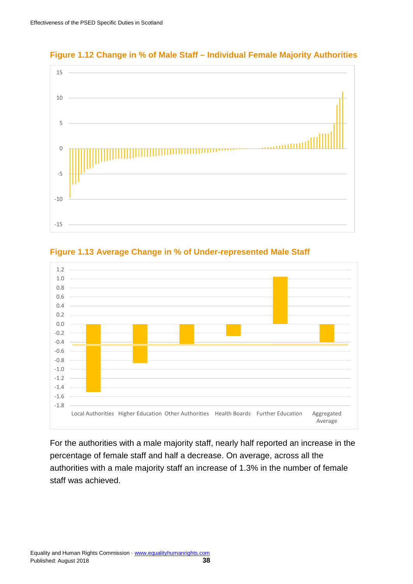

#### **Figure 1.12 Change in % of Male Staff – Individual Female Majority Authorities**





For the authorities with a male majority staff, nearly half reported an increase in the percentage of female staff and half a decrease. On average, across all the authorities with a male majority staff an increase of 1.3% in the number of female staff was achieved.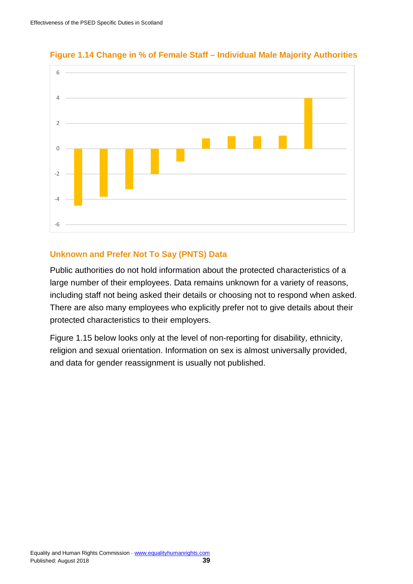

**Figure 1.14 Change in % of Female Staff – Individual Male Majority Authorities**

#### **Unknown and Prefer Not To Say (PNTS) Data**

Public authorities do not hold information about the protected characteristics of a large number of their employees. Data remains unknown for a variety of reasons, including staff not being asked their details or choosing not to respond when asked. There are also many employees who explicitly prefer not to give details about their protected characteristics to their employers.

Figure 1.15 below looks only at the level of non-reporting for disability, ethnicity, religion and sexual orientation. Information on sex is almost universally provided, and data for gender reassignment is usually not published.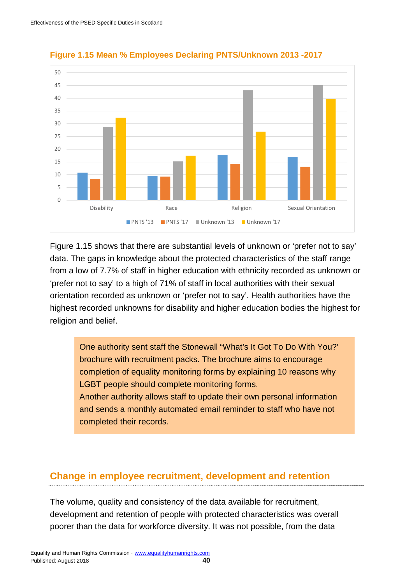

#### **Figure 1.15 Mean % Employees Declaring PNTS/Unknown 2013 -2017**

Figure 1.15 shows that there are substantial levels of unknown or 'prefer not to say' data. The gaps in knowledge about the protected characteristics of the staff range from a low of 7.7% of staff in higher education with ethnicity recorded as unknown or 'prefer not to say' to a high of 71% of staff in local authorities with their sexual orientation recorded as unknown or 'prefer not to say'. Health authorities have the highest recorded unknowns for disability and higher education bodies the highest for religion and belief.

One authority sent staff the Stonewall "What's It Got To Do With You?' brochure with recruitment packs. The brochure aims to encourage completion of equality monitoring forms by explaining 10 reasons why LGBT people should complete monitoring forms. Another authority allows staff to update their own personal information and sends a monthly automated email reminder to staff who have not completed their records.

# <span id="page-40-0"></span>**Change in employee recruitment, development and retention**

The volume, quality and consistency of the data available for recruitment, development and retention of people with protected characteristics was overall poorer than the data for workforce diversity. It was not possible, from the data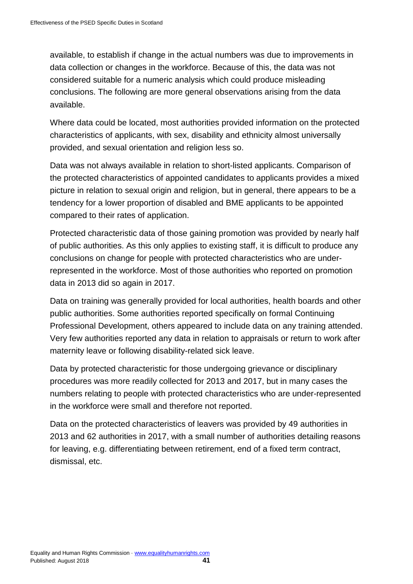available, to establish if change in the actual numbers was due to improvements in data collection or changes in the workforce. Because of this, the data was not considered suitable for a numeric analysis which could produce misleading conclusions. The following are more general observations arising from the data available.

Where data could be located, most authorities provided information on the protected characteristics of applicants, with sex, disability and ethnicity almost universally provided, and sexual orientation and religion less so.

Data was not always available in relation to short-listed applicants. Comparison of the protected characteristics of appointed candidates to applicants provides a mixed picture in relation to sexual origin and religion, but in general, there appears to be a tendency for a lower proportion of disabled and BME applicants to be appointed compared to their rates of application.

Protected characteristic data of those gaining promotion was provided by nearly half of public authorities. As this only applies to existing staff, it is difficult to produce any conclusions on change for people with protected characteristics who are underrepresented in the workforce. Most of those authorities who reported on promotion data in 2013 did so again in 2017.

Data on training was generally provided for local authorities, health boards and other public authorities. Some authorities reported specifically on formal Continuing Professional Development, others appeared to include data on any training attended. Very few authorities reported any data in relation to appraisals or return to work after maternity leave or following disability-related sick leave.

Data by protected characteristic for those undergoing grievance or disciplinary procedures was more readily collected for 2013 and 2017, but in many cases the numbers relating to people with protected characteristics who are under-represented in the workforce were small and therefore not reported.

Data on the protected characteristics of leavers was provided by 49 authorities in 2013 and 62 authorities in 2017, with a small number of authorities detailing reasons for leaving, e.g. differentiating between retirement, end of a fixed term contract, dismissal, etc.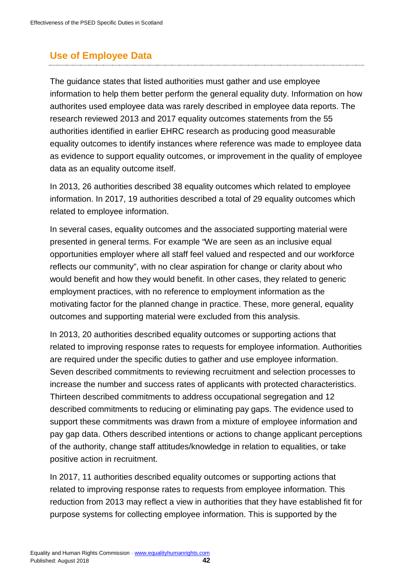# <span id="page-42-0"></span>**Use of Employee Data**

The guidance states that listed authorities must gather and use employee information to help them better perform the general equality duty. Information on how authorites used employee data was rarely described in employee data reports. The research reviewed 2013 and 2017 equality outcomes statements from the 55 authorities identified in earlier EHRC research as producing good measurable equality outcomes to identify instances where reference was made to employee data as evidence to support equality outcomes, or improvement in the quality of employee data as an equality outcome itself.

In 2013, 26 authorities described 38 equality outcomes which related to employee information. In 2017, 19 authorities described a total of 29 equality outcomes which related to employee information.

In several cases, equality outcomes and the associated supporting material were presented in general terms. For example "We are seen as an inclusive equal opportunities employer where all staff feel valued and respected and our workforce reflects our community", with no clear aspiration for change or clarity about who would benefit and how they would benefit. In other cases, they related to generic employment practices, with no reference to employment information as the motivating factor for the planned change in practice. These, more general, equality outcomes and supporting material were excluded from this analysis.

In 2013, 20 authorities described equality outcomes or supporting actions that related to improving response rates to requests for employee information. Authorities are required under the specific duties to gather and use employee information. Seven described commitments to reviewing recruitment and selection processes to increase the number and success rates of applicants with protected characteristics. Thirteen described commitments to address occupational segregation and 12 described commitments to reducing or eliminating pay gaps. The evidence used to support these commitments was drawn from a mixture of employee information and pay gap data. Others described intentions or actions to change applicant perceptions of the authority, change staff attitudes/knowledge in relation to equalities, or take positive action in recruitment.

In 2017, 11 authorities described equality outcomes or supporting actions that related to improving response rates to requests from employee information. This reduction from 2013 may reflect a view in authorities that they have established fit for purpose systems for collecting employee information. This is supported by the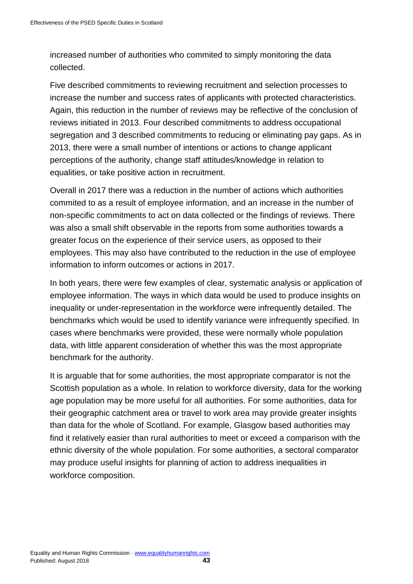increased number of authorities who commited to simply monitoring the data collected.

Five described commitments to reviewing recruitment and selection processes to increase the number and success rates of applicants with protected characteristics. Again, this reduction in the number of reviews may be reflective of the conclusion of reviews initiated in 2013. Four described commitments to address occupational segregation and 3 described commitments to reducing or eliminating pay gaps. As in 2013, there were a small number of intentions or actions to change applicant perceptions of the authority, change staff attitudes/knowledge in relation to equalities, or take positive action in recruitment.

Overall in 2017 there was a reduction in the number of actions which authorities commited to as a result of employee information, and an increase in the number of non-specific commitments to act on data collected or the findings of reviews. There was also a small shift observable in the reports from some authorities towards a greater focus on the experience of their service users, as opposed to their employees. This may also have contributed to the reduction in the use of employee information to inform outcomes or actions in 2017.

In both years, there were few examples of clear, systematic analysis or application of employee information. The ways in which data would be used to produce insights on inequality or under-representation in the workforce were infrequently detailed. The benchmarks which would be used to identify variance were infrequently specified. In cases where benchmarks were provided, these were normally whole population data, with little apparent consideration of whether this was the most appropriate benchmark for the authority.

It is arguable that for some authorities, the most appropriate comparator is not the Scottish population as a whole. In relation to workforce diversity, data for the working age population may be more useful for all authorities. For some authorities, data for their geographic catchment area or travel to work area may provide greater insights than data for the whole of Scotland. For example, Glasgow based authorities may find it relatively easier than rural authorities to meet or exceed a comparison with the ethnic diversity of the whole population. For some authorities, a sectoral comparator may produce useful insights for planning of action to address inequalities in workforce composition.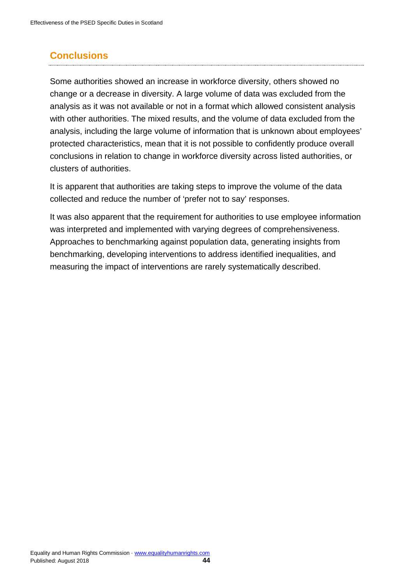# <span id="page-44-0"></span>**Conclusions**

Some authorities showed an increase in workforce diversity, others showed no change or a decrease in diversity. A large volume of data was excluded from the analysis as it was not available or not in a format which allowed consistent analysis with other authorities. The mixed results, and the volume of data excluded from the analysis, including the large volume of information that is unknown about employees' protected characteristics, mean that it is not possible to confidently produce overall conclusions in relation to change in workforce diversity across listed authorities, or clusters of authorities.

It is apparent that authorities are taking steps to improve the volume of the data collected and reduce the number of 'prefer not to say' responses.

It was also apparent that the requirement for authorities to use employee information was interpreted and implemented with varying degrees of comprehensiveness. Approaches to benchmarking against population data, generating insights from benchmarking, developing interventions to address identified inequalities, and measuring the impact of interventions are rarely systematically described.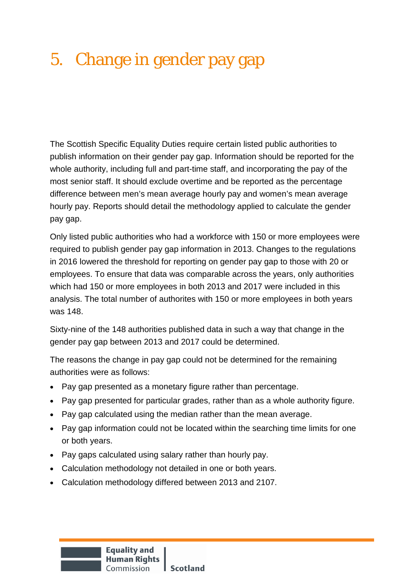# <span id="page-45-0"></span>5. Change in gender pay gap

The Scottish Specific Equality Duties require certain listed public authorities to publish information on their gender pay gap. Information should be reported for the whole authority, including full and part-time staff, and incorporating the pay of the most senior staff. It should exclude overtime and be reported as the percentage difference between men's mean average hourly pay and women's mean average hourly pay. Reports should detail the methodology applied to calculate the gender pay gap.

Only listed public authorities who had a workforce with 150 or more employees were required to publish gender pay gap information in 2013. Changes to the regulations in 2016 lowered the threshold for reporting on gender pay gap to those with 20 or employees. To ensure that data was comparable across the years, only authorities which had 150 or more employees in both 2013 and 2017 were included in this analysis. The total number of authorites with 150 or more employees in both years was 148.

Sixty-nine of the 148 authorities published data in such a way that change in the gender pay gap between 2013 and 2017 could be determined.

The reasons the change in pay gap could not be determined for the remaining authorities were as follows:

- Pay gap presented as a monetary figure rather than percentage.
- Pay gap presented for particular grades, rather than as a whole authority figure.
- Pay gap calculated using the median rather than the mean average.
- Pay gap information could not be located within the searching time limits for one or both years.
- Pay gaps calculated using salary rather than hourly pay.
- Calculation methodology not detailed in one or both years.
- Calculation methodology differed between 2013 and 2107.

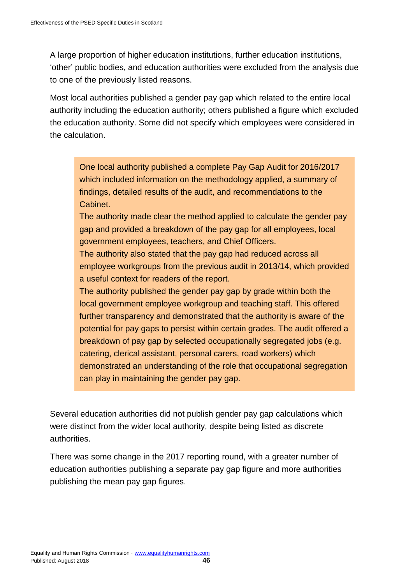A large proportion of higher education institutions, further education institutions, 'other' public bodies, and education authorities were excluded from the analysis due to one of the previously listed reasons.

Most local authorities published a gender pay gap which related to the entire local authority including the education authority; others published a figure which excluded the education authority. Some did not specify which employees were considered in the calculation.

One local authority published a complete Pay Gap Audit for 2016/2017 which included information on the methodology applied, a summary of findings, detailed results of the audit, and recommendations to the Cabinet.

The authority made clear the method applied to calculate the gender pay gap and provided a breakdown of the pay gap for all employees, local government employees, teachers, and Chief Officers.

The authority also stated that the pay gap had reduced across all employee workgroups from the previous audit in 2013/14, which provided a useful context for readers of the report.

The authority published the gender pay gap by grade within both the local government employee workgroup and teaching staff. This offered further transparency and demonstrated that the authority is aware of the potential for pay gaps to persist within certain grades. The audit offered a breakdown of pay gap by selected occupationally segregated jobs (e.g. catering, clerical assistant, personal carers, road workers) which demonstrated an understanding of the role that occupational segregation can play in maintaining the gender pay gap.

Several education authorities did not publish gender pay gap calculations which were distinct from the wider local authority, despite being listed as discrete authorities.

There was some change in the 2017 reporting round, with a greater number of education authorities publishing a separate pay gap figure and more authorities publishing the mean pay gap figures.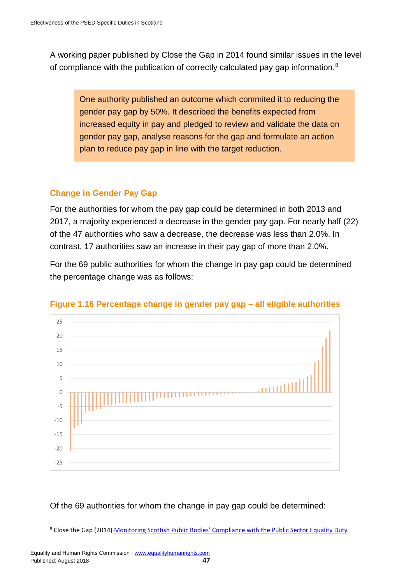A working paper published by Close the Gap in 2014 found similar issues in the level of compliance with the publication of correctly calculated pay gap information.<sup>[8](#page-47-0)</sup>

One authority published an outcome which commited it to reducing the gender pay gap by 50%. It described the benefits expected from increased equity in pay and pledged to review and validate the data on gender pay gap, analyse reasons for the gap and formulate an action plan to reduce pay gap in line with the target reduction.

#### **Change in Gender Pay Gap**

For the authorities for whom the pay gap could be determined in both 2013 and 2017, a majority experienced a decrease in the gender pay gap. For nearly half (22) of the 47 authorities who saw a decrease, the decrease was less than 2.0%. In contrast, 17 authorities saw an increase in their pay gap of more than 2.0%.

For the 69 public authorities for whom the change in pay gap could be determined the percentage change was as follows:



#### **Figure 1.16 Percentage change in gender pay gap – all eligible authorities**

Of the 69 authorities for whom the change in pay gap could be determined:

<span id="page-47-0"></span><sup>&</sup>lt;u>.</u> <sup>8</sup> Close the Gap (2014[\) Monitoring Scottish Public Bodies' Compliance with the Public Sector Equality Duty](https://www.closethegap.org.uk/content/resources/1450180414_CTG-Working-Paper-12---Monitoring-Scottish-public-bodies-compliance-with-the-public-sector-equality-duty.pdf)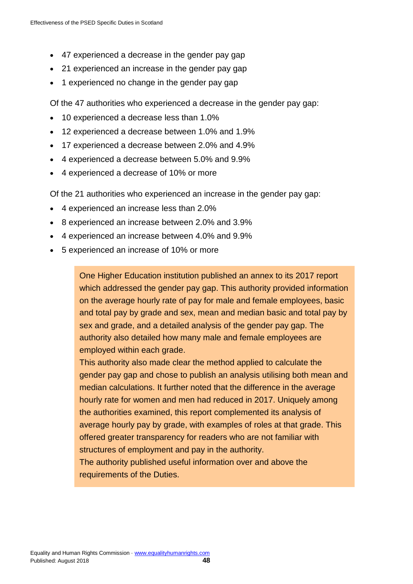- 47 experienced a decrease in the gender pay gap
- 21 experienced an increase in the gender pay gap
- 1 experienced no change in the gender pay gap

Of the 47 authorities who experienced a decrease in the gender pay gap:

- 10 experienced a decrease less than 1.0%
- 12 experienced a decrease between 1.0% and 1.9%
- 17 experienced a decrease between 2.0% and 4.9%
- 4 experienced a decrease between 5.0% and 9.9%
- 4 experienced a decrease of 10% or more

Of the 21 authorities who experienced an increase in the gender pay gap:

- 4 experienced an increase less than 2.0%
- 8 experienced an increase between 2.0% and 3.9%
- 4 experienced an increase between 4.0% and 9.9%
- 5 experienced an increase of 10% or more

One Higher Education institution published an annex to its 2017 report which addressed the gender pay gap. This authority provided information on the average hourly rate of pay for male and female employees, basic and total pay by grade and sex, mean and median basic and total pay by sex and grade, and a detailed analysis of the gender pay gap. The authority also detailed how many male and female employees are employed within each grade.

This authority also made clear the method applied to calculate the gender pay gap and chose to publish an analysis utilising both mean and median calculations. It further noted that the difference in the average hourly rate for women and men had reduced in 2017. Uniquely among the authorities examined, this report complemented its analysis of average hourly pay by grade, with examples of roles at that grade. This offered greater transparency for readers who are not familiar with structures of employment and pay in the authority.

The authority published useful information over and above the requirements of the Duties.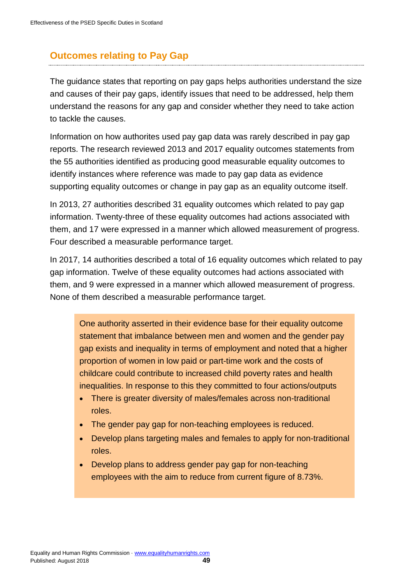# <span id="page-49-0"></span>**Outcomes relating to Pay Gap**

The guidance states that reporting on pay gaps helps authorities understand the size and causes of their pay gaps, identify issues that need to be addressed, help them understand the reasons for any gap and consider whether they need to take action to tackle the causes.

Information on how authorites used pay gap data was rarely described in pay gap reports. The research reviewed 2013 and 2017 equality outcomes statements from the 55 authorities identified as producing good measurable equality outcomes to identify instances where reference was made to pay gap data as evidence supporting equality outcomes or change in pay gap as an equality outcome itself.

In 2013, 27 authorities described 31 equality outcomes which related to pay gap information. Twenty-three of these equality outcomes had actions associated with them, and 17 were expressed in a manner which allowed measurement of progress. Four described a measurable performance target.

In 2017, 14 authorities described a total of 16 equality outcomes which related to pay gap information. Twelve of these equality outcomes had actions associated with them, and 9 were expressed in a manner which allowed measurement of progress. None of them described a measurable performance target.

One authority asserted in their evidence base for their equality outcome statement that imbalance between men and women and the gender pay gap exists and inequality in terms of employment and noted that a higher proportion of women in low paid or part-time work and the costs of childcare could contribute to increased child poverty rates and health inequalities. In response to this they committed to four actions/outputs

- There is greater diversity of males/females across non-traditional roles.
- The gender pay gap for non-teaching employees is reduced.
- Develop plans targeting males and females to apply for non-traditional roles.
- Develop plans to address gender pay gap for non-teaching employees with the aim to reduce from current figure of 8.73%.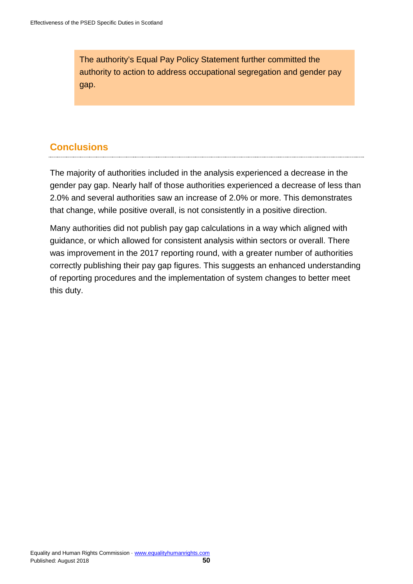The authority's Equal Pay Policy Statement further committed the authority to action to address occupational segregation and gender pay gap.

# <span id="page-50-0"></span>**Conclusions**

The majority of authorities included in the analysis experienced a decrease in the gender pay gap. Nearly half of those authorities experienced a decrease of less than 2.0% and several authorities saw an increase of 2.0% or more. This demonstrates that change, while positive overall, is not consistently in a positive direction.

<span id="page-50-1"></span>Many authorities did not publish pay gap calculations in a way which aligned with guidance, or which allowed for consistent analysis within sectors or overall. There was improvement in the 2017 reporting round, with a greater number of authorities correctly publishing their pay gap figures. This suggests an enhanced understanding of reporting procedures and the implementation of system changes to better meet this duty.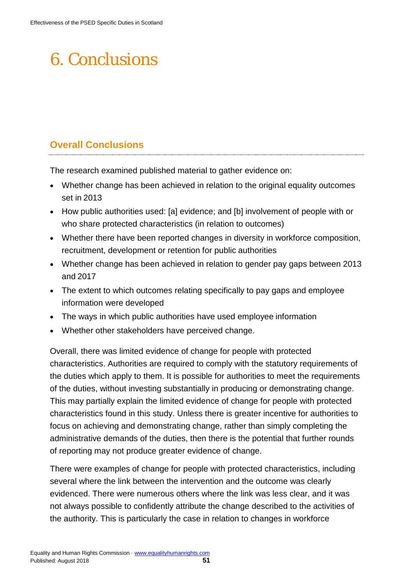# 6. Conclusions

# <span id="page-51-0"></span>**Overall Conclusions**

The research examined published material to gather evidence on:

- Whether change has been achieved in relation to the original equality outcomes set in 2013
- How public authorities used: [a] evidence; and [b] involvement of people with or who share protected characteristics (in relation to outcomes)
- Whether there have been reported changes in diversity in workforce composition, recruitment, development or retention for public authorities
- Whether change has been achieved in relation to gender pay gaps between 2013 and 2017
- The extent to which outcomes relating specifically to pay gaps and employee information were developed
- The ways in which public authorities have used employee information
- Whether other stakeholders have perceived change.

Overall, there was limited evidence of change for people with protected characteristics. Authorities are required to comply with the statutory requirements of the duties which apply to them. It is possible for authorities to meet the requirements of the duties, without investing substantially in producing or demonstrating change. This may partially explain the limited evidence of change for people with protected characteristics found in this study. Unless there is greater incentive for authorities to focus on achieving and demonstrating change, rather than simply completing the administrative demands of the duties, then there is the potential that further rounds of reporting may not produce greater evidence of change.

There were examples of change for people with protected characteristics, including several where the link between the intervention and the outcome was clearly evidenced. There were numerous others where the link was less clear, and it was not always possible to confidently attribute the change described to the activities of the authority. This is particularly the case in relation to changes in workforce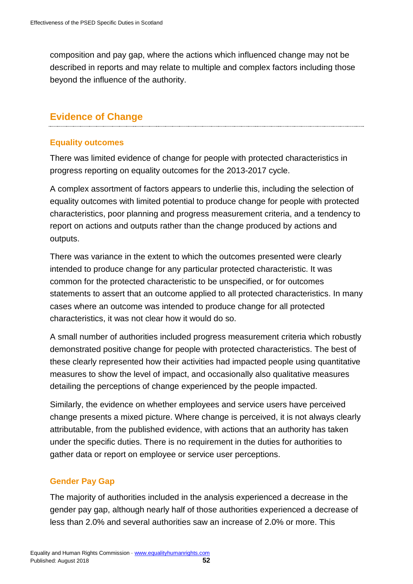composition and pay gap, where the actions which influenced change may not be described in reports and may relate to multiple and complex factors including those beyond the influence of the authority.

# <span id="page-52-0"></span>**Evidence of Change**

# **Equality outcomes**

There was limited evidence of change for people with protected characteristics in progress reporting on equality outcomes for the 2013-2017 cycle.

A complex assortment of factors appears to underlie this, including the selection of equality outcomes with limited potential to produce change for people with protected characteristics, poor planning and progress measurement criteria, and a tendency to report on actions and outputs rather than the change produced by actions and outputs.

There was variance in the extent to which the outcomes presented were clearly intended to produce change for any particular protected characteristic. It was common for the protected characteristic to be unspecified, or for outcomes statements to assert that an outcome applied to all protected characteristics. In many cases where an outcome was intended to produce change for all protected characteristics, it was not clear how it would do so.

A small number of authorities included progress measurement criteria which robustly demonstrated positive change for people with protected characteristics. The best of these clearly represented how their activities had impacted people using quantitative measures to show the level of impact, and occasionally also qualitative measures detailing the perceptions of change experienced by the people impacted.

Similarly, the evidence on whether employees and service users have perceived change presents a mixed picture. Where change is perceived, it is not always clearly attributable, from the published evidence, with actions that an authority has taken under the specific duties. There is no requirement in the duties for authorities to gather data or report on employee or service user perceptions.

# **Gender Pay Gap**

The majority of authorities included in the analysis experienced a decrease in the gender pay gap, although nearly half of those authorities experienced a decrease of less than 2.0% and several authorities saw an increase of 2.0% or more. This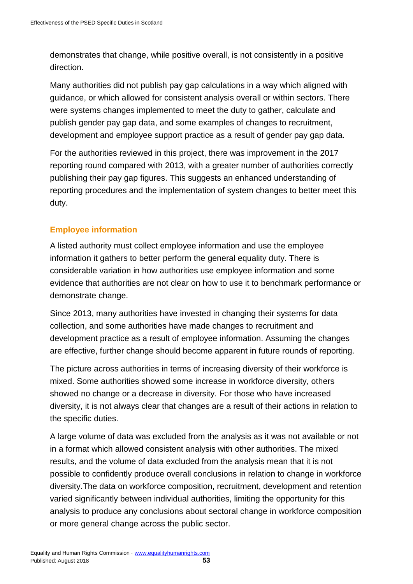demonstrates that change, while positive overall, is not consistently in a positive direction.

Many authorities did not publish pay gap calculations in a way which aligned with guidance, or which allowed for consistent analysis overall or within sectors. There were systems changes implemented to meet the duty to gather, calculate and publish gender pay gap data, and some examples of changes to recruitment, development and employee support practice as a result of gender pay gap data.

For the authorities reviewed in this project, there was improvement in the 2017 reporting round compared with 2013, with a greater number of authorities correctly publishing their pay gap figures. This suggests an enhanced understanding of reporting procedures and the implementation of system changes to better meet this duty.

# **Employee information**

A listed authority must collect employee information and use the employee information it gathers to better perform the general equality duty. There is considerable variation in how authorities use employee information and some evidence that authorities are not clear on how to use it to benchmark performance or demonstrate change.

Since 2013, many authorities have invested in changing their systems for data collection, and some authorities have made changes to recruitment and development practice as a result of employee information. Assuming the changes are effective, further change should become apparent in future rounds of reporting.

The picture across authorities in terms of increasing diversity of their workforce is mixed. Some authorities showed some increase in workforce diversity, others showed no change or a decrease in diversity. For those who have increased diversity, it is not always clear that changes are a result of their actions in relation to the specific duties.

A large volume of data was excluded from the analysis as it was not available or not in a format which allowed consistent analysis with other authorities. The mixed results, and the volume of data excluded from the analysis mean that it is not possible to confidently produce overall conclusions in relation to change in workforce diversity.The data on workforce composition, recruitment, development and retention varied significantly between individual authorities, limiting the opportunity for this analysis to produce any conclusions about sectoral change in workforce composition or more general change across the public sector.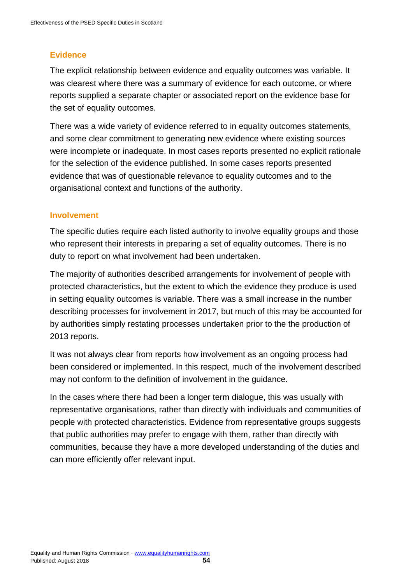# **Evidence**

The explicit relationship between evidence and equality outcomes was variable. It was clearest where there was a summary of evidence for each outcome, or where reports supplied a separate chapter or associated report on the evidence base for the set of equality outcomes.

There was a wide variety of evidence referred to in equality outcomes statements, and some clear commitment to generating new evidence where existing sources were incomplete or inadequate. In most cases reports presented no explicit rationale for the selection of the evidence published. In some cases reports presented evidence that was of questionable relevance to equality outcomes and to the organisational context and functions of the authority.

#### **Involvement**

The specific duties require each listed authority to involve equality groups and those who represent their interests in preparing a set of equality outcomes. There is no duty to report on what involvement had been undertaken.

The majority of authorities described arrangements for involvement of people with protected characteristics, but the extent to which the evidence they produce is used in setting equality outcomes is variable. There was a small increase in the number describing processes for involvement in 2017, but much of this may be accounted for by authorities simply restating processes undertaken prior to the the production of 2013 reports.

It was not always clear from reports how involvement as an ongoing process had been considered or implemented. In this respect, much of the involvement described may not conform to the definition of involvement in the guidance.

In the cases where there had been a longer term dialogue, this was usually with representative organisations, rather than directly with individuals and communities of people with protected characteristics. Evidence from representative groups suggests that public authorities may prefer to engage with them, rather than directly with communities, because they have a more developed understanding of the duties and can more efficiently offer relevant input.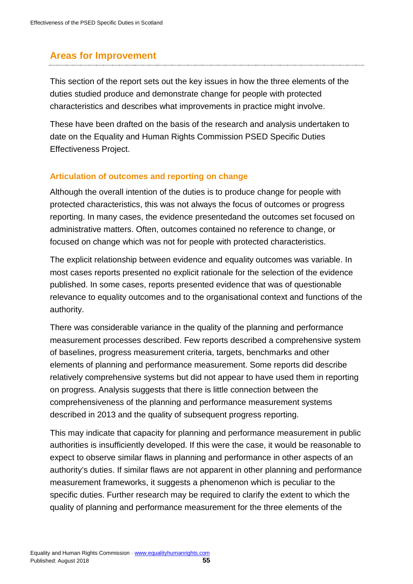# <span id="page-55-0"></span>**Areas for Improvement**

This section of the report sets out the key issues in how the three elements of the duties studied produce and demonstrate change for people with protected characteristics and describes what improvements in practice might involve.

These have been drafted on the basis of the research and analysis undertaken to date on the Equality and Human Rights Commission PSED Specific Duties Effectiveness Project.

#### **Articulation of outcomes and reporting on change**

Although the overall intention of the duties is to produce change for people with protected characteristics, this was not always the focus of outcomes or progress reporting. In many cases, the evidence presentedand the outcomes set focused on administrative matters. Often, outcomes contained no reference to change, or focused on change which was not for people with protected characteristics.

The explicit relationship between evidence and equality outcomes was variable. In most cases reports presented no explicit rationale for the selection of the evidence published. In some cases, reports presented evidence that was of questionable relevance to equality outcomes and to the organisational context and functions of the authority.

There was considerable variance in the quality of the planning and performance measurement processes described. Few reports described a comprehensive system of baselines, progress measurement criteria, targets, benchmarks and other elements of planning and performance measurement. Some reports did describe relatively comprehensive systems but did not appear to have used them in reporting on progress. Analysis suggests that there is little connection between the comprehensiveness of the planning and performance measurement systems described in 2013 and the quality of subsequent progress reporting.

This may indicate that capacity for planning and performance measurement in public authorities is insufficiently developed. If this were the case, it would be reasonable to expect to observe similar flaws in planning and performance in other aspects of an authority's duties. If similar flaws are not apparent in other planning and performance measurement frameworks, it suggests a phenomenon which is peculiar to the specific duties. Further research may be required to clarify the extent to which the quality of planning and performance measurement for the three elements of the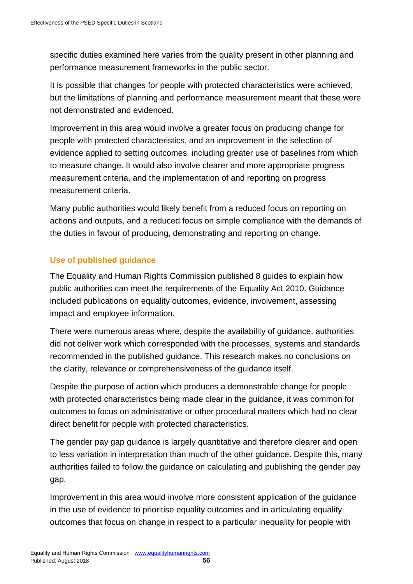specific duties examined here varies from the quality present in other planning and performance measurement frameworks in the public sector.

It is possible that changes for people with protected characteristics were achieved, but the limitations of planning and performance measurement meant that these were not demonstrated and evidenced.

Improvement in this area would involve a greater focus on producing change for people with protected characteristics, and an improvement in the selection of evidence applied to setting outcomes, including greater use of baselines from which to measure change. It would also involve clearer and more appropriate progress measurement criteria, and the implementation of and reporting on progress measurement criteria.

Many public authorities would likely benefit from a reduced focus on reporting on actions and outputs, and a reduced focus on simple compliance with the demands of the duties in favour of producing, demonstrating and reporting on change.

# **Use of published guidance**

The Equality and Human Rights Commission published 8 guides to explain how public authorities can meet the requirements of the Equality Act 2010. Guidance included publications on equality outcomes, evidence, involvement, assessing impact and employee information.

There were numerous areas where, despite the availability of guidance, authorities did not deliver work which corresponded with the processes, systems and standards recommended in the published guidance. This research makes no conclusions on the clarity, relevance or comprehensiveness of the guidance itself.

Despite the purpose of action which produces a demonstrable change for people with protected characteristics being made clear in the guidance, it was common for outcomes to focus on administrative or other procedural matters which had no clear direct benefit for people with protected characteristics.

The gender pay gap guidance is largely quantitative and therefore clearer and open to less variation in interpretation than much of the other guidance. Despite this, many authorities failed to follow the guidance on calculating and publishing the gender pay gap.

Improvement in this area would involve more consistent application of the guidance in the use of evidence to prioritise equality outcomes and in articulating equality outcomes that focus on change in respect to a particular inequality for people with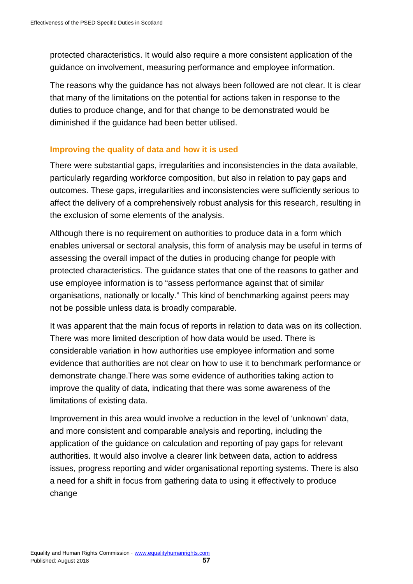protected characteristics. It would also require a more consistent application of the guidance on involvement, measuring performance and employee information.

The reasons why the guidance has not always been followed are not clear. It is clear that many of the limitations on the potential for actions taken in response to the duties to produce change, and for that change to be demonstrated would be diminished if the guidance had been better utilised.

# **Improving the quality of data and how it is used**

There were substantial gaps, irregularities and inconsistencies in the data available, particularly regarding workforce composition, but also in relation to pay gaps and outcomes. These gaps, irregularities and inconsistencies were sufficiently serious to affect the delivery of a comprehensively robust analysis for this research, resulting in the exclusion of some elements of the analysis.

Although there is no requirement on authorities to produce data in a form which enables universal or sectoral analysis, this form of analysis may be useful in terms of assessing the overall impact of the duties in producing change for people with protected characteristics. The guidance states that one of the reasons to gather and use employee information is to "assess performance against that of similar organisations, nationally or locally." This kind of benchmarking against peers may not be possible unless data is broadly comparable.

It was apparent that the main focus of reports in relation to data was on its collection. There was more limited description of how data would be used. There is considerable variation in how authorities use employee information and some evidence that authorities are not clear on how to use it to benchmark performance or demonstrate change.There was some evidence of authorities taking action to improve the quality of data, indicating that there was some awareness of the limitations of existing data.

Improvement in this area would involve a reduction in the level of 'unknown' data, and more consistent and comparable analysis and reporting, including the application of the guidance on calculation and reporting of pay gaps for relevant authorities. It would also involve a clearer link between data, action to address issues, progress reporting and wider organisational reporting systems. There is also a need for a shift in focus from gathering data to using it effectively to produce change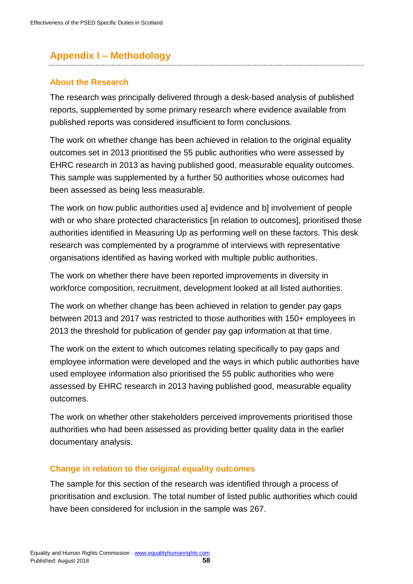# <span id="page-58-0"></span>**Appendix I – Methodology**

#### <span id="page-58-1"></span>**About the Research**

The research was principally delivered through a desk-based analysis of published reports, supplemented by some primary research where evidence available from published reports was considered insufficient to form conclusions.

The work on whether change has been achieved in relation to the original equality outcomes set in 2013 prioritised the 55 public authorities who were assessed by EHRC research in 2013 as having published good, measurable equality outcomes. This sample was supplemented by a further 50 authorities whose outcomes had been assessed as being less measurable.

The work on how public authorities used a] evidence and b] involvement of people with or who share protected characteristics [in relation to outcomes], prioritised those authorities identified in Measuring Up as performing well on these factors. This desk research was complemented by a programme of interviews with representative organisations identified as having worked with multiple public authorities.

The work on whether there have been reported improvements in diversity in workforce composition, recruitment, development looked at all listed authorities.

The work on whether change has been achieved in relation to gender pay gaps between 2013 and 2017 was restricted to those authorities with 150+ employees in 2013 the threshold for publication of gender pay gap information at that time.

The work on the extent to which outcomes relating specifically to pay gaps and employee information were developed and the ways in which public authorities have used employee information also prioritised the 55 public authorities who were assessed by EHRC research in 2013 having published good, measurable equality outcomes.

The work on whether other stakeholders perceived improvements prioritised those authorities who had been assessed as providing better quality data in the earlier documentary analysis.

# <span id="page-58-2"></span>**Change in relation to the original equality outcomes**

The sample for this section of the research was identified through a process of prioritisation and exclusion. The total number of listed public authorities which could have been considered for inclusion in the sample was 267.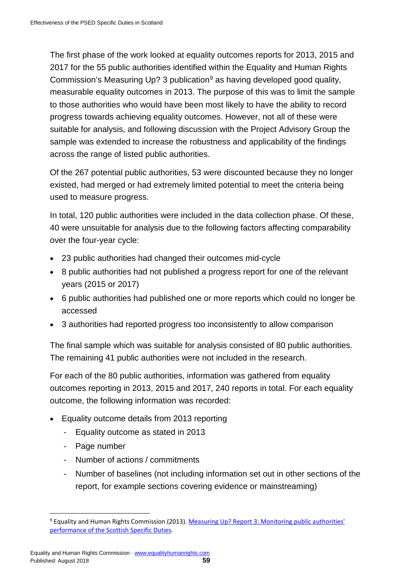The first phase of the work looked at equality outcomes reports for 2013, 2015 and 2017 for the 55 public authorities identified within the Equality and Human Rights Commission's Measuring Up? 3 publication $9$  as having developed good quality, measurable equality outcomes in 2013. The purpose of this was to limit the sample to those authorities who would have been most likely to have the ability to record progress towards achieving equality outcomes. However, not all of these were suitable for analysis, and following discussion with the Project Advisory Group the sample was extended to increase the robustness and applicability of the findings across the range of listed public authorities.

Of the 267 potential public authorities, 53 were discounted because they no longer existed, had merged or had extremely limited potential to meet the criteria being used to measure progress.

In total, 120 public authorities were included in the data collection phase. Of these, 40 were unsuitable for analysis due to the following factors affecting comparability over the four-year cycle:

- 23 public authorities had changed their outcomes mid-cycle
- 8 public authorities had not published a progress report for one of the relevant years (2015 or 2017)
- 6 public authorities had published one or more reports which could no longer be accessed
- 3 authorities had reported progress too inconsistently to allow comparison

The final sample which was suitable for analysis consisted of 80 public authorities. The remaining 41 public authorities were not included in the research.

For each of the 80 public authorities, information was gathered from equality outcomes reporting in 2013, 2015 and 2017, 240 reports in total. For each equality outcome, the following information was recorded:

- Equality outcome details from 2013 reporting
	- Equality outcome as stated in 2013
	- Page number
	- Number of actions / commitments
	- Number of baselines (not including information set out in other sections of the report, for example sections covering evidence or mainstreaming)

<span id="page-59-0"></span><sup>-</sup><sup>9</sup> Equality and Human Rights Commission (2013). Measuring Up? Report 3: Monitoring public authorities' performance of the [Scottish Specific Duties.](https://www.equalityhumanrights.com/en/file/4806/download?token=70vXPH40)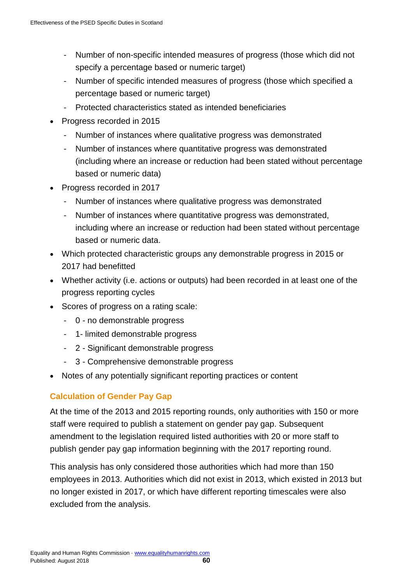- Number of non-specific intended measures of progress (those which did not specify a percentage based or numeric target)
- Number of specific intended measures of progress (those which specified a percentage based or numeric target)
- Protected characteristics stated as intended beneficiaries
- Progress recorded in 2015
	- Number of instances where qualitative progress was demonstrated
	- Number of instances where quantitative progress was demonstrated (including where an increase or reduction had been stated without percentage based or numeric data)
- Progress recorded in 2017
	- Number of instances where qualitative progress was demonstrated
	- Number of instances where quantitative progress was demonstrated, including where an increase or reduction had been stated without percentage based or numeric data.
- Which protected characteristic groups any demonstrable progress in 2015 or 2017 had benefitted
- Whether activity (i.e. actions or outputs) had been recorded in at least one of the progress reporting cycles
- Scores of progress on a rating scale:
	- 0 no demonstrable progress
	- 1- limited demonstrable progress
	- 2 Significant demonstrable progress
	- 3 Comprehensive demonstrable progress
- Notes of any potentially significant reporting practices or content

# <span id="page-60-0"></span>**Calculation of Gender Pay Gap**

At the time of the 2013 and 2015 reporting rounds, only authorities with 150 or more staff were required to publish a statement on gender pay gap. Subsequent amendment to the legislation required listed authorities with 20 or more staff to publish gender pay gap information beginning with the 2017 reporting round.

This analysis has only considered those authorities which had more than 150 employees in 2013. Authorities which did not exist in 2013, which existed in 2013 but no longer existed in 2017, or which have different reporting timescales were also excluded from the analysis.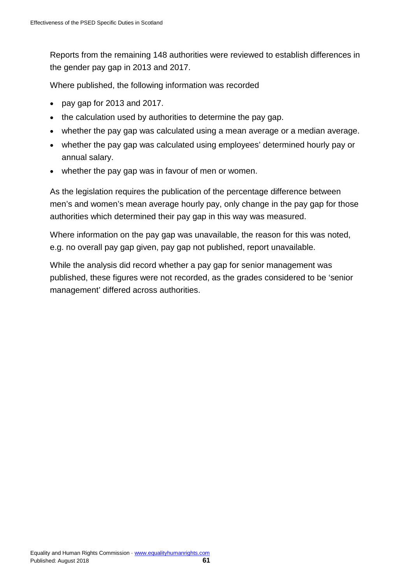Reports from the remaining 148 authorities were reviewed to establish differences in the gender pay gap in 2013 and 2017.

Where published, the following information was recorded

- pay gap for 2013 and 2017.
- the calculation used by authorities to determine the pay gap.
- whether the pay gap was calculated using a mean average or a median average.
- whether the pay gap was calculated using employees' determined hourly pay or annual salary.
- whether the pay gap was in favour of men or women.

As the legislation requires the publication of the percentage difference between men's and women's mean average hourly pay, only change in the pay gap for those authorities which determined their pay gap in this way was measured.

Where information on the pay gap was unavailable, the reason for this was noted, e.g. no overall pay gap given, pay gap not published, report unavailable.

While the analysis did record whether a pay gap for senior management was published, these figures were not recorded, as the grades considered to be 'senior management' differed across authorities.